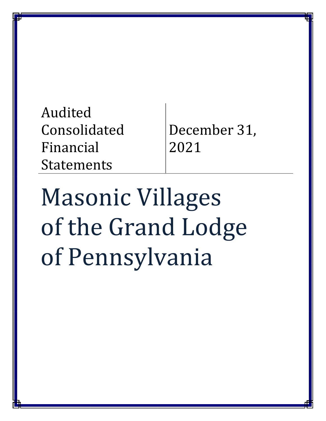| Audited           |
|-------------------|
| Consolidated      |
| Financial         |
| <b>Statements</b> |

December 31, 2021

Masonic Villages of the Grand Lodge of Pennsylvania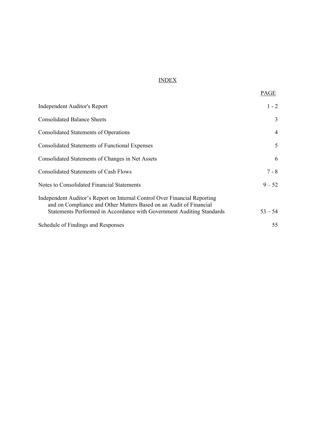# INDEX

| Independent Auditor's Report                                                                                                                                                                                             | $1 - 2$   |
|--------------------------------------------------------------------------------------------------------------------------------------------------------------------------------------------------------------------------|-----------|
| <b>Consolidated Balance Sheets</b>                                                                                                                                                                                       | 3         |
| <b>Consolidated Statements of Operations</b>                                                                                                                                                                             | 4         |
| <b>Consolidated Statements of Functional Expenses</b>                                                                                                                                                                    | 5         |
| Consolidated Statements of Changes in Net Assets                                                                                                                                                                         | 6         |
| <b>Consolidated Statements of Cash Flows</b>                                                                                                                                                                             | $7 - 8$   |
| Notes to Consolidated Financial Statements                                                                                                                                                                               | $9 - 52$  |
| Independent Auditor's Report on Internal Control Over Financial Reporting<br>and on Compliance and Other Matters Based on an Audit of Financial<br>Statements Performed in Accordance with Government Auditing Standards | $53 - 54$ |
| Schedule of Findings and Responses                                                                                                                                                                                       | 55        |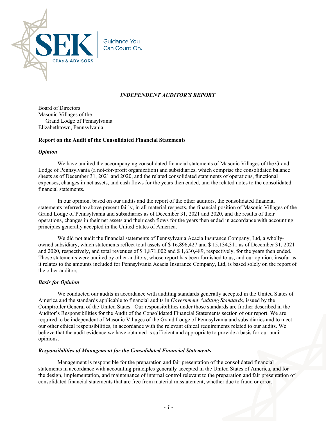

## *INDEPENDENT AUDITOR'S REPORT*

Board of Directors Masonic Villages of the Grand Lodge of Pennsylvania Elizabethtown, Pennsylvania

#### **Report on the Audit of the Consolidated Financial Statements**

#### *Opinion*

We have audited the accompanying consolidated financial statements of Masonic Villages of the Grand Lodge of Pennsylvania (a not-for-profit organization) and subsidiaries, which comprise the consolidated balance sheets as of December 31, 2021 and 2020, and the related consolidated statements of operations, functional expenses, changes in net assets, and cash flows for the years then ended, and the related notes to the consolidated financial statements.

In our opinion, based on our audits and the report of the other auditors, the consolidated financial statements referred to above present fairly, in all material respects, the financial position of Masonic Villages of the Grand Lodge of Pennsylvania and subsidiaries as of December 31, 2021 and 2020, and the results of their operations, changes in their net assets and their cash flows for the years then ended in accordance with accounting principles generally accepted in the United States of America.

We did not audit the financial statements of Pennsylvania Acacia Insurance Company, Ltd, a whollyowned subsidiary, which statements reflect total assets of \$ 16,896,427 and \$ 15,134,311 as of December 31, 2021 and 2020, respectively, and total revenues of \$ 1,871,002 and \$ 1,630,489, respectively, for the years then ended. Those statements were audited by other auditors, whose report has been furnished to us, and our opinion, insofar as it relates to the amounts included for Pennsylvania Acacia Insurance Company, Ltd, is based solely on the report of the other auditors.

#### *Basis for Opinion*

We conducted our audits in accordance with auditing standards generally accepted in the United States of America and the standards applicable to financial audits in *Government Auditing Standards*, issued by the Comptroller General of the United States. Our responsibilities under those standards are further described in the Auditor's Responsibilities for the Audit of the Consolidated Financial Statements section of our report. We are required to be independent of Masonic Villages of the Grand Lodge of Pennsylvania and subsidiaries and to meet our other ethical responsibilities, in accordance with the relevant ethical requirements related to our audits. We believe that the audit evidence we have obtained is sufficient and appropriate to provide a basis for our audit opinions.

#### *Responsibilities of Management for the Consolidated Financial Statements*

Management is responsible for the preparation and fair presentation of the consolidated financial statements in accordance with accounting principles generally accepted in the United States of America, and for the design, implementation, and maintenance of internal control relevant to the preparation and fair presentation of consolidated financial statements that are free from material misstatement, whether due to fraud or error.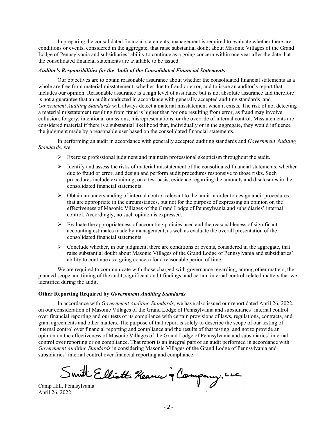In preparing the consolidated financial statements, management is required to evaluate whether there are conditions or events, considered in the aggregate, that raise substantial doubt about Masonic Villages of the Grand Lodge of Pennsylvania and subsidiaries' ability to continue as a going concern within one year after the date that the consolidated financial statements are available to be issued.

#### *Auditor's Responsibilities for the Audit of the Consolidated Financial Statements*

Our objectives are to obtain reasonable assurance about whether the consolidated financial statements as a whole are free from material misstatement, whether due to fraud or error, and to issue an auditor's report that includes our opinion. Reasonable assurance is a high level of assurance but is not absolute assurance and therefore is not a guarantee that an audit conducted in accordance with generally accepted auditing standards and *Government Auditing Standards* will always detect a material misstatement when it exists. The risk of not detecting a material misstatement resulting from fraud is higher than for one resulting from error, as fraud may involve collusion, forgery, intentional omissions, misrepresentations, or the override of internal control. Misstatements are considered material if there is a substantial likelihood that, individually or in the aggregate, they would influence the judgment made by a reasonable user based on the consolidated financial statements.

In performing an audit in accordance with generally accepted auditing standards and *Government Auditing Standards*, we:

- $\triangleright$  Exercise professional judgment and maintain professional skepticism throughout the audit.
- $\triangleright$  Identify and assess the risks of material misstatement of the consolidated financial statements, whether due to fraud or error, and design and perform audit procedures responsive to those risks. Such procedures include examining, on a test basis, evidence regarding the amounts and disclosures in the consolidated financial statements.
- $\triangleright$  Obtain an understanding of internal control relevant to the audit in order to design audit procedures that are appropriate in the circumstances, but not for the purpose of expressing an opinion on the effectiveness of Masonic Villages of the Grand Lodge of Pennsylvania and subsidiaries' internal control. Accordingly, no such opinion is expressed.
- $\triangleright$  Evaluate the appropriateness of accounting policies used and the reasonableness of significant accounting estimates made by management, as well as evaluate the overall presentation of the consolidated financial statements.
- $\triangleright$  Conclude whether, in our judgment, there are conditions or events, considered in the aggregate, that raise substantial doubt about Masonic Villages of the Grand Lodge of Pennsylvania and subsidiaries' ability to continue as a going concern for a reasonable period of time.

We are required to communicate with those charged with governance regarding, among other matters, the planned scope and timing of the audit, significant audit findings, and certain internal control-related matters that we identified during the audit.

#### **Other Reporting Required by** *Government Auditing Standards*

In accordance with *Government Auditing Standards*, we have also issued our report dated April 26, 2022, on our consideration of Masonic Villages of the Grand Lodge of Pennsylvania and subsidiaries' internal control over financial reporting and our tests of its compliance with certain provisions of laws, regulations, contracts, and grant agreements and other matters. The purpose of that report is solely to describe the scope of our testing of internal control over financial reporting and compliance and the results of that testing, and not to provide an opinion on the effectiveness of Masonic Villages of the Grand Lodge of Pennsylvania and subsidiaries' internal control over reporting or on compliance. That report is an integral part of an audit performed in accordance with *Government Auditing Standards* in considering Masonic Villages of the Grand Lodge of Pennsylvania and subsidiaries' internal control over financial reporting and compliance.

Smith Elliott Rearn à Company, LLC

April 26, 2022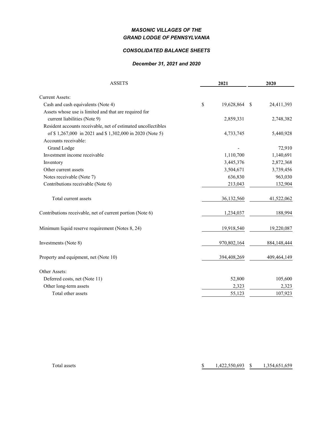# *MASONIC VILLAGES OF THE GRAND LODGE OF PENNSYLVANIA*

#### *CONSOLIDATED BALANCE SHEETS*

#### *December 31, 2021 and 2020*

| <b>ASSETS</b>                                                 |    | 2021        |    | 2020        |  |
|---------------------------------------------------------------|----|-------------|----|-------------|--|
|                                                               |    |             |    |             |  |
| <b>Current Assets:</b>                                        |    |             |    |             |  |
| Cash and cash equivalents (Note 4)                            | \$ | 19,628,864  | -S | 24,411,393  |  |
| Assets whose use is limited and that are required for         |    |             |    |             |  |
| current liabilities (Note 9)                                  |    | 2,859,331   |    | 2,748,382   |  |
| Resident accounts receivable, net of estimated uncollectibles |    |             |    |             |  |
| of \$1,267,000 in 2021 and \$1,302,000 in 2020 (Note 5)       |    | 4,733,745   |    | 5,440,928   |  |
| Accounts receivable:                                          |    |             |    |             |  |
| <b>Grand Lodge</b>                                            |    |             |    | 72,910      |  |
| Investment income receivable                                  |    | 1,110,700   |    | 1,140,691   |  |
| Inventory                                                     |    | 3,445,376   |    | 2,872,368   |  |
| Other current assets                                          |    | 3,504,671   |    | 3,739,456   |  |
| Notes receivable (Note 7)                                     |    | 636,830     |    | 963,030     |  |
| Contributions receivable (Note 6)                             |    | 213,043     |    | 132,904     |  |
| Total current assets                                          |    | 36,132,560  |    | 41,522,062  |  |
| Contributions receivable, net of current portion (Note 6)     |    | 1,234,037   |    | 188,994     |  |
| Minimum liquid reserve requirement (Notes 8, 24)              |    | 19,918,540  |    | 19,220,087  |  |
| Investments (Note 8)                                          |    | 970,802,164 |    | 884,148,444 |  |
| Property and equipment, net (Note 10)                         |    | 394,408,269 |    | 409,464,149 |  |
| Other Assets:                                                 |    |             |    |             |  |
| Deferred costs, net (Note 11)                                 |    | 52,800      |    | 105,600     |  |
| Other long-term assets                                        |    | 2,323       |    | 2,323       |  |
| Total other assets                                            |    | 55,123      |    | 107,923     |  |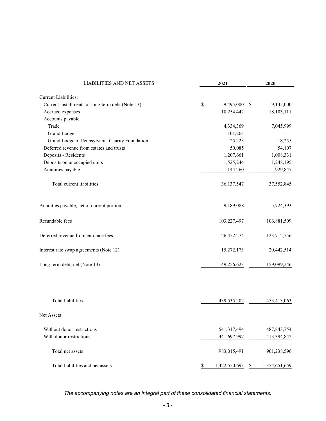| <b>LIABILITIES AND NET ASSETS</b><br>2021        |    |               | 2020          |               |  |
|--------------------------------------------------|----|---------------|---------------|---------------|--|
| <b>Current Liabilities:</b>                      |    |               |               |               |  |
| Current installments of long-term debt (Note 13) | \$ | 9,495,000     | <sup>\$</sup> | 9,145,000     |  |
| Accrued expenses                                 |    | 18,254,442    |               | 18,103,111    |  |
| Accounts payable:                                |    |               |               |               |  |
| Trade                                            |    | 4,334,369     |               | 7,045,999     |  |
| <b>Grand Lodge</b>                               |    | 101,263       |               |               |  |
| Grand Lodge of Pennsylvania Charity Foundation   |    | 25,223        |               | 18,255        |  |
| Deferred revenue from estates and trusts         |    | 50,085        |               | 54,107        |  |
| Deposits - Residents                             |    | 1,207,661     |               | 1,008,331     |  |
| Deposits on unoccupied units                     |    | 1,525,244     |               | 1,248,195     |  |
| Annuities payable                                |    | 1,144,260     |               | 929,847       |  |
| Total current liabilities                        |    | 36,137,547    |               | 37,552,845    |  |
| Annuities payable, net of current portion        |    | 9,189,088     |               | 5,724,393     |  |
| Refundable fees                                  |    | 103,227,497   |               | 106,881,509   |  |
| Deferred revenue from entrance fees              |    | 126,452,274   |               | 123,712,556   |  |
| Interest rate swap agreements (Note 12)          |    | 15,272,173    |               | 20,442,514    |  |
| Long-term debt, net (Note 13)                    |    | 149,256,623   |               | 159,099,246   |  |
|                                                  |    |               |               |               |  |
| <b>Total liabilities</b>                         |    | 439,535,202   |               | 453,413,063   |  |
| <b>Net Assets</b>                                |    |               |               |               |  |
| Without donor restrictions                       |    | 541,317,494   |               | 487, 843, 754 |  |
| With donor restrictions                          |    | 441,697,997   |               | 413,394,842   |  |
| Total net assets                                 |    | 983,015,491   |               | 901,238,596   |  |
| Total liabilities and net assets                 | \$ | 1,422,550,693 | \$            | 1,354,651,659 |  |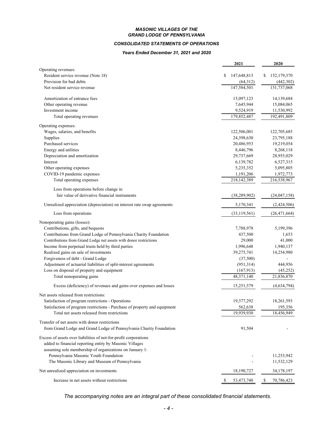#### *MASONIC VILLAGES OF THE GRAND LODGE OF PENNSYLVANIA*

#### *CONSOLIDATED STATEMENTS OF OPERATIONS*

#### *Years Ended December 31, 2021 and 2020*

|                                                                           | 2021              | 2020             |
|---------------------------------------------------------------------------|-------------------|------------------|
| Operating revenues:                                                       |                   |                  |
| Resident service revenue (Note 18)                                        | \$<br>147,648,813 | 152,179,370<br>S |
| Provision for bad debts                                                   | (64, 312)         | (442,302)        |
| Net resident service revenue                                              | 147,584,501       | 151,737,068      |
| Amortization of entrance fees                                             | 15,097,123        | 14,139,684       |
| Other operating revenue                                                   | 7,645,944         | 15,084,065       |
| Investment income                                                         | 9,524,919         | 11,530,992       |
| Total operating revenues                                                  | 179,852,487       | 192,491,809      |
| Operating expenses:                                                       |                   |                  |
| Wages, salaries, and benefits                                             | 122,506,001       | 122,705,685      |
| Supplies                                                                  | 24,398,630        | 23,795,188       |
| Purchased services                                                        | 20,486,953        | 19,219,054       |
| Energy and utilities                                                      | 8,446,796         | 8,268,118        |
| Depreciation and amortization                                             | 29,737,669        | 28,955,029       |
| Interest                                                                  | 6,139,782         | 6,527,315        |
| Other operating expenses                                                  | 5,235,352         | 5,095,805        |
| COVID-19 pandemic expenses                                                | 1,191,206         | 1,972,773        |
| Total operating expenses                                                  | 218,142,389       | 216,538,967      |
| Loss from operations before change in                                     |                   |                  |
| fair value of derivative financial instruments                            | (38, 289, 902)    | (24, 047, 158)   |
| Unrealized appreciation (depreciation) on interest rate swap agreements   | 5,170,341         | (2,424,506)      |
| Loss from operations                                                      | (33, 119, 561)    | (26, 471, 664)   |
| Nonoperating gains (losses):                                              |                   |                  |
| Contributions, gifts, and bequests                                        | 7,788,978         | 5,199,396        |
| Contributions from Grand Lodge of Pennsylvania Charity Foundation         | 437,500           | 1,653            |
| Contributions from Grand Lodge net assets with donor restrictions         | 29,000            | 41,000           |
| Income from perpetual trusts held by third parties                        | 1,996,648         | 1,940,137        |
| Realized gains on sale of investments                                     | 39,275,741        | 14,254,980       |
| Forgiveness of debt - Grand Lodge                                         | (37,500)          |                  |
| Adjustment of actuarial liabilities of split-interest agreements          | (951,314)         | 444,956          |
| Loss on disposal of property and equipment                                | (167, 913)        | (45,252)         |
| Total nonoperating gains                                                  | 48,371,140        | 21,836,870       |
| Excess (deficiency) of revenues and gains over expenses and losses        | 15,251,579        | (4,634,794)      |
| Net assets released from restrictions:                                    |                   |                  |
| Satisfaction of program restrictions - Operations                         | 19,377,292        | 18,261,593       |
| Satisfaction of program restrictions - Purchase of property and equipment | 562,638           | 195,356          |
| Total net assets released from restrictions                               | 19,939,930        | 18,456,949       |
| Transfer of net assets with donor restrictions                            |                   |                  |
| from Grand Lodge and Grand Lodge of Pennsylvania Charity Foundation       | 91,504            |                  |
| Excess of assets over liabilities of not-for-profit corporations          |                   |                  |
| added to financial reporting entity by Masonic Villages                   |                   |                  |
| assuming sole membership of organizations on January 1:                   |                   |                  |
| Pennsylvania Masonic Youth Foundation                                     |                   | 11,253,942       |
| The Masonic Library and Museum of Pennsylvania                            |                   | 11,532,129       |
| Net unrealized appreciation on investments                                | 18,190,727        | 34,178,197       |
| Increase in net assets without restrictions                               | \$<br>53,473,740  | \$<br>70,786,423 |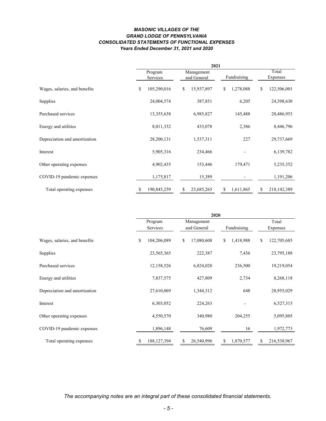#### *MASONIC VILLAGES OF THE GRAND LODGE OF PENNSYLVANIA CONSOLIDATED STATEMENTS OF FUNCTIONAL EXPENSES Years Ended December 31, 2021 and 2020*

|                               |                     | 2021                      |                 |                   |  |  |  |
|-------------------------------|---------------------|---------------------------|-----------------|-------------------|--|--|--|
|                               | Program<br>Services | Management<br>and General |                 | Total<br>Expenses |  |  |  |
| Wages, salaries, and benefits | \$<br>105,290,016   | 15,937,897<br>\$          | 1,278,088<br>\$ | \$<br>122,506,001 |  |  |  |
| Supplies                      | 24,004,574          | 387,851                   | 6,205           | 24,398,630        |  |  |  |
| Purchased services            | 13,355,638          | 6,985,827                 | 145,488         | 20,486,953        |  |  |  |
| Energy and utilities          | 8,011,332           | 433,078                   | 2,386           | 8,446,796         |  |  |  |
| Depreciation and amortization | 28,200,131          | 1,537,311                 | 227             | 29,737,669        |  |  |  |
| Interest                      | 5,905,316           | 234,466                   |                 | 6,139,782         |  |  |  |
| Other operating expenses      | 4,902,435           | 153,446                   | 179,471         | 5,235,352         |  |  |  |
| COVID-19 pandemic expenses    | 1,175,817           | 15,389                    |                 | 1,191,206         |  |  |  |
| Total operating expenses      | \$<br>190,845,259   | 25,685,265<br>\$          | 1,611,865<br>\$ | 218,142,389<br>\$ |  |  |  |

|                               | 2020                |                           |                 |                   |  |  |
|-------------------------------|---------------------|---------------------------|-----------------|-------------------|--|--|
|                               | Program<br>Services | Management<br>and General | Fundraising     | Total<br>Expenses |  |  |
| Wages, salaries, and benefits | \$<br>104,206,089   | 17,080,608<br>\$          | 1,418,988<br>\$ | 122,705,685<br>\$ |  |  |
| Supplies                      | 23,565,365          | 222,387                   | 7,436           | 23,795,188        |  |  |
| Purchased services            | 12,158,526          | 6,824,028                 | 236,500         | 19,219,054        |  |  |
| Energy and utilities          | 7,837,575           | 427,809                   | 2,734           | 8,268,118         |  |  |
| Depreciation and amortization | 27,610,069          | 1,344,312                 | 648             | 28,955,029        |  |  |
| Interest                      | 6,303,052           | 224,263                   |                 | 6,527,315         |  |  |
| Other operating expenses      | 4,550,570           | 340,980                   | 204,255         | 5,095,805         |  |  |
| COVID-19 pandemic expenses    | 1,896,148           | 76,609                    | 16              | 1,972,773         |  |  |
| Total operating expenses      | 188, 127, 394<br>\$ | 26,540,996<br>S           | 1,870,577<br>\$ | 216,538,967<br>S  |  |  |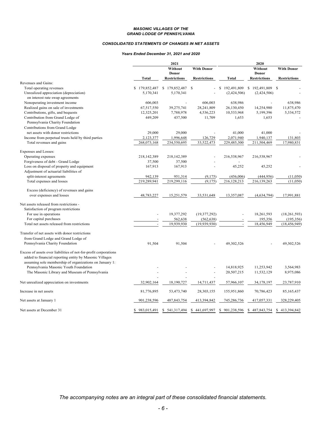#### *MASONIC VILLAGES OF THE GRAND LODGE OF PENNSYLVANIA*

#### *CONSOLIDATED STATEMENTS OF CHANGES IN NET ASSETS*

#### *Years Ended December 31, 2021 and 2020*

|                                                                            | 2021              |                         |                     | 2020              |                         |                     |  |
|----------------------------------------------------------------------------|-------------------|-------------------------|---------------------|-------------------|-------------------------|---------------------|--|
|                                                                            |                   | Without<br><b>Donor</b> | <b>With Donor</b>   |                   | Without<br><b>Donor</b> | <b>With Donor</b>   |  |
|                                                                            | Total             | <b>Restrictions</b>     | <b>Restrictions</b> | Total             | <b>Restrictions</b>     | <b>Restrictions</b> |  |
| Revenues and Gains:                                                        |                   |                         |                     |                   |                         |                     |  |
| Total operating revenues                                                   | \$179,852,487     | \$<br>179,852,487       | -S                  | 192,491,809<br>\$ | \$192,491,809           | <sup>\$</sup>       |  |
| Unrealized appreciation (depreciation)<br>on interest rate swap agreements | 5,170,341         | 5,170,341               |                     | (2,424,506)       | (2,424,506)             |                     |  |
| Nonoperating investment income                                             | 606,003           |                         | 606,003             | 638,986           |                         | 638,986             |  |
| Realized gains on sale of investments                                      | 67,517,550        | 39,275,741              | 28,241,809          | 26,130,450        | 14,254,980              | 11,875,470          |  |
| Contributions, gifts, and bequests                                         | 12,325,201        | 7,788,978               | 4,536,223           | 10,533,968        | 5,199,396               | 5,334,572           |  |
| Contribution from Grand Lodge of<br>Pennsylvania Charity Foundation        | 449,209           | 437,500                 | 11,709              | 1,653             | 1,653                   |                     |  |
| Contributions from Grand Lodge                                             |                   |                         |                     |                   |                         |                     |  |
| net assets with donor restrictions                                         | 29,000            | 29,000                  |                     | 41,000            | 41,000                  |                     |  |
| Income from perpetual trusts held by third parties                         | 2,123,377         | 1,996,648               | 126,729             | 2,071,940         | 1,940,137               | 131,803             |  |
| Total revenues and gains                                                   | 268,073,168       | 234,550,695             | 33,522,473          | 229,485,300       | 211,504,469             | 17,980,831          |  |
| Expenses and Losses:                                                       |                   |                         |                     |                   |                         |                     |  |
| Operating expenses                                                         | 218,142,389       | 218,142,389             |                     | 216,538,967       | 216,538,967             |                     |  |
| Forgiveness of debt - Grand Lodge                                          | 37,500            | 37,500                  |                     |                   |                         |                     |  |
| Loss on disposal of property and equipment                                 | 167,913           | 167,913                 |                     | 45,252            | 45,252                  |                     |  |
| Adjustment of actuarial liabilities of                                     |                   |                         |                     |                   |                         |                     |  |
| split-interest agreements                                                  | 942,139           | 951,314                 | (9,175)             | (456,006)         | (444, 956)              | (11,050)            |  |
| Total expenses and losses                                                  | 219,289,941       | 219,299,116             | (9,175)             | 216,128,213       | 216,139,263             | (11,050)            |  |
| Excess (deficiency) of revenues and gains                                  |                   |                         |                     |                   |                         |                     |  |
| over expenses and losses                                                   | 48,783,227        | 15,251,579              | 33,531,648          | 13,357,087        | (4,634,794)             | 17,991,881          |  |
| Net assets released from restrictions -                                    |                   |                         |                     |                   |                         |                     |  |
| Satisfaction of program restrictions                                       |                   |                         |                     |                   |                         |                     |  |
| For use in operations                                                      |                   | 19,377,292              | (19, 377, 292)      |                   | 18,261,593              | (18, 261, 593)      |  |
| For capital purchases                                                      |                   | 562,638                 | (562, 638)          |                   | 195,356                 | (195, 356)          |  |
| Total net assets released from restrictions                                |                   | 19,939,930              | (19,939,930)        |                   | 18,456,949              | (18, 456, 949)      |  |
| Transfer of net assets with donor restrictions                             |                   |                         |                     |                   |                         |                     |  |
| from Grand Lodge and Grand Lodge of                                        |                   |                         |                     |                   |                         |                     |  |
| Pennsylvania Charity Foundation                                            | 91,504            | 91,504                  |                     | 49,302,526        |                         | 49,302,526          |  |
| Excess of assets over liabilities of not-for-profit corporations           |                   |                         |                     |                   |                         |                     |  |
| added to financial reporting entity by Masonic Villages                    |                   |                         |                     |                   |                         |                     |  |
| assuming sole membership of organizations on January 1:                    |                   |                         |                     |                   |                         |                     |  |
| Pennsylvania Masonic Youth Foundation                                      |                   |                         |                     | 14,818,925        | 11,253,942              | 3,564,983           |  |
| The Masonic Library and Museum of Pennsylvania                             |                   |                         |                     | 20,507,215        | 11,532,129              | 8,975,086           |  |
| Net unrealized appreciation on investments                                 | 32,902,164        | 18,190,727              | 14,711,437          | 57,966,107        | 34,178,197              | 23,787,910          |  |
| Increase in net assets                                                     | 81,776,895        | 53,473,740              | 28,303,155          | 155,951,860       | 70,786,423              | 85,165,437          |  |
| Net assets at January 1                                                    | 901,238,596       | 487,843,754             | 413,394,842         | 745,286,736       | 417,057,331             | 328,229,405         |  |
| Net assets at December 31                                                  | \$<br>983,015,491 | 541,317,494<br>S        | 441,697,997<br>S    | 901,238,596<br>S  | \$487,843,754           | 413.394.842<br>S    |  |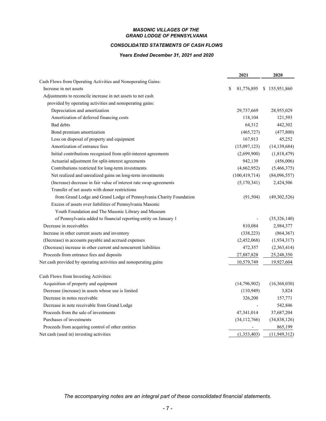#### *MASONIC VILLAGES OF THE GRAND LODGE OF PENNSYLVANIA*

#### *CONSOLIDATED STATEMENTS OF CASH FLOWS*

#### *Years Ended December 31, 2021 and 2020*

|                                                                     | 2021            | 2020           |
|---------------------------------------------------------------------|-----------------|----------------|
| Cash Flows from Operating Activities and Nonoperating Gains:        |                 |                |
| Increase in net assets                                              | 81,776,895<br>S | \$155,951,860  |
| Adjustments to reconcile increase in net assets to net cash         |                 |                |
| provided by operating activities and nonoperating gains:            |                 |                |
| Depreciation and amortization                                       | 29,737,669      | 28,955,029     |
| Amortization of deferred financing costs                            | 118,104         | 121,593        |
| Bad debts                                                           | 64,312          | 442,302        |
| Bond premium amortization                                           | (465, 727)      | (477,800)      |
| Loss on disposal of property and equipment                          | 167,913         | 45,252         |
| Amortization of entrance fees                                       | (15,097,123)    | (14, 139, 684) |
| Initial contributions recognized from split-interest agreements     | (2,699,900)     | (1,818,479)    |
| Actuarial adjustment for split-interest agreements                  | 942,139         | (456,006)      |
| Contributions restricted for long-term investments                  | (4,662,952)     | (5,466,375)    |
| Net realized and unrealized gains on long-term investments          | (100, 419, 714) | (84,096,557)   |
| (Increase) decrease in fair value of interest rate swap agreements  | (5,170,341)     | 2,424,506      |
| Transfer of net assets with donor restrictions                      |                 |                |
| from Grand Lodge and Grand Lodge of Pennsylvania Charity Foundation | (91, 504)       | (49,302,526)   |
| Excess of assets over liabilities of Pennsylvania Masonic           |                 |                |
| Youth Foundation and The Masonic Library and Museum                 |                 |                |
| of Pennsylvania added to financial reporting entity on January 1    |                 | (35,326,140)   |
| Decrease in receivables                                             | 810,084         | 2,984,377      |
| Increase in other current assets and inventory                      | (338, 223)      | (864, 367)     |
| (Decrease) in accounts payable and accrued expenses                 | (2,452,068)     | (1,934,317)    |
| (Decrease) increase in other current and noncurrent liabilities     | 472,357         | (2,363,414)    |
| Proceeds from entrance fees and deposits                            | 27,887,828      | 25,248,350     |
| Net cash provided by operating activities and nonoperating gains    | 10,579,749      | 19,927,604     |
| Cash Flows from Investing Activities:                               |                 |                |
| Acquisition of property and equipment                               | (14,796,902)    | (16,368,030)   |
| Decrease (increase) in assets whose use is limited                  | (110, 949)      | 3,824          |
| Decrease in notes receivable                                        | 326,200         | 157,771        |
| Decrease in note receivable from Grand Lodge                        |                 | 542,846        |
| Proceeds from the sale of investments                               | 47,341,014      | 37,687,204     |
| Purchases of investments                                            | (34, 112, 766)  | (34,838,126)   |
| Proceeds from acquiring control of other entities                   |                 | 865,199        |
| Net cash (used in) investing activities                             | (1,353,403)     | (11, 949, 312) |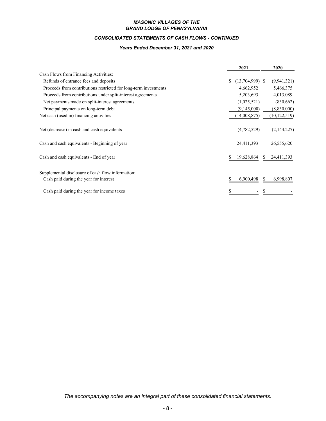#### *MASONIC VILLAGES OF THE GRAND LODGE OF PENNSYLVANIA*

## *CONSOLIDATED STATEMENTS OF CASH FLOWS - CONTINUED*

#### *Years Ended December 31, 2021 and 2020*

|                                                                  | 2021                    |    | 2020           |
|------------------------------------------------------------------|-------------------------|----|----------------|
| Cash Flows from Financing Activities:                            |                         |    |                |
| Refunds of entrance fees and deposits                            | \$<br>$(13,704,999)$ \$ |    | (9, 941, 321)  |
| Proceeds from contributions restricted for long-term investments | 4,662,952               |    | 5,466,375      |
| Proceeds from contributions under split-interest agreements      | 5,203,693               |    | 4,013,089      |
| Net payments made on split-interest agreements                   | (1,025,521)             |    | (830,662)      |
| Principal payments on long-term debt                             | (9,145,000)             |    | (8,830,000)    |
| Net cash (used in) financing activities                          | (14,008,875)            |    | (10, 122, 519) |
| Net (decrease) in cash and cash equivalents                      | (4,782,529)             |    | (2,144,227)    |
| Cash and cash equivalents - Beginning of year                    | 24,411,393              |    | 26,555,620     |
| Cash and cash equivalents - End of year                          | 19,628,864              |    | 24,411,393     |
| Supplemental disclosure of cash flow information:                |                         |    |                |
| Cash paid during the year for interest                           | 6,900,498               | S. | 6,998,807      |
| Cash paid during the year for income taxes                       |                         |    |                |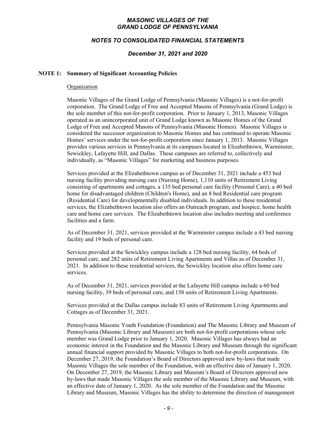### *MASONIC VILLAGES OF THE GRAND LODGE OF PENNSYLVANIA*

### *NOTES TO CONSOLIDATED FINANCIAL STATEMENTS*

#### *December 31, 2021 and 2020*

#### **NOTE 1: Summary of Significant Accounting Policies**

#### Organization

Masonic Villages of the Grand Lodge of Pennsylvania (Masonic Villages) is a not-for-profit corporation. The Grand Lodge of Free and Accepted Masons of Pennsylvania (Grand Lodge) is the sole member of this not-for-profit corporation. Prior to January 1, 2013, Masonic Villages operated as an unincorporated unit of Grand Lodge known as Masonic Homes of the Grand Lodge of Free and Accepted Masons of Pennsylvania (Masonic Homes). Masonic Villages is considered the successor organization to Masonic Homes and has continued to operate Masonic Homes' services under the not-for-profit corporation since January 1, 2013. Masonic Villages provides various services in Pennsylvania at its campuses located in Elizabethtown, Warminster, Sewickley, Lafayette Hill, and Dallas. These campuses are referred to, collectively and individually, as "Masonic Villages" for marketing and business purposes.

Services provided at the Elizabethtown campus as of December 31, 2021 include a 453 bed nursing facility providing nursing care (Nursing Home), 1,110 units of Retirement Living consisting of apartments and cottages, a 135 bed personal care facility (Personal Care), a 40 bed home for disadvantaged children (Children's Home), and an 8 bed Residential care program (Residential Care) for developmentally disabled individuals. In addition to these residential services, the Elizabethtown location also offers an Outreach program, and hospice, home health care and home care services. The Elizabethtown location also includes meeting and conference facilities and a farm.

As of December 31, 2021, services provided at the Warminster campus include a 43 bed nursing facility and 19 beds of personal care.

Services provided at the Sewickley campus include a 128 bed nursing facility, 64 beds of personal care, and 282 units of Retirement Living Apartments and Villas as of December 31, 2021. In addition to these residential services, the Sewickley location also offers home care services.

As of December 31, 2021, services provided at the Lafayette Hill campus include a 60 bed nursing facility, 39 beds of personal care, and 158 units of Retirement Living Apartments.

Services provided at the Dallas campus include 83 units of Retirement Living Apartments and Cottages as of December 31, 2021.

Pennsylvania Masonic Youth Foundation (Foundation) and The Masonic Library and Museum of Pennsylvania (Masonic Library and Museum) are both not-for-profit corporations whose sole member was Grand Lodge prior to January 1, 2020. Masonic Villages has always had an economic interest in the Foundation and the Masonic Library and Museum through the significant annual financial support provided by Masonic Villages to both not-for-profit corporations. On December 27, 2019, the Foundation's Board of Directors approved new by-laws that made Masonic Villages the sole member of the Foundation, with an effective date of January 1, 2020. On December 27, 2019, the Masonic Library and Museum's Board of Directors approved new by-laws that made Masonic Villages the sole member of the Masonic Library and Museum, with an effective date of January 1, 2020. As the sole member of the Foundation and the Masonic Library and Museum, Masonic Villages has the ability to determine the direction of management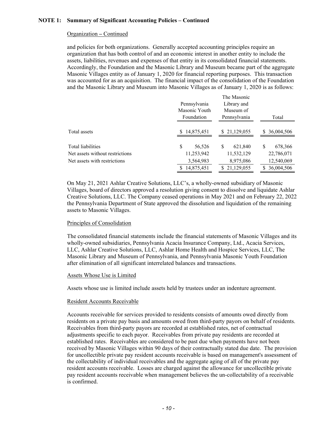#### Organization **–** Continued

and policies for both organizations. Generally accepted accounting principles require an organization that has both control of and an economic interest in another entity to include the assets, liabilities, revenues and expenses of that entity in its consolidated financial statements. Accordingly, the Foundation and the Masonic Library and Museum became part of the aggregate Masonic Villages entity as of January 1, 2020 for financial reporting purposes. This transaction was accounted for as an acquisition. The financial impact of the consolidation of the Foundation and the Masonic Library and Museum into Masonic Villages as of January 1, 2020 is as follows:

The Masonic

|                                 | Pennsylvania<br>Masonic Youth<br>Foundation | THE MASOIHE<br>Library and<br>Museum of<br>Pennsylvania | Total           |  |  |
|---------------------------------|---------------------------------------------|---------------------------------------------------------|-----------------|--|--|
| Total assets                    | \$14,875,451                                | \$21,129,055                                            | 36,004,506<br>S |  |  |
| Total liabilities               | \$<br>56,526                                | S<br>621,840                                            | S<br>678,366    |  |  |
| Net assets without restrictions | 11,253,942                                  | 11,532,129                                              | 22,786,071      |  |  |
| Net assets with restrictions    | 3,564,983                                   | 8,975,086                                               | 12,540,069      |  |  |
|                                 | 14,875,451                                  | \$21,129,055                                            | 36,004,506<br>S |  |  |

On May 21, 2021 Ashlar Creative Solutions, LLC's, a wholly-owned subsidiary of Masonic Villages, board of directors approved a resolution giving consent to dissolve and liquidate Ashlar Creative Solutions, LLC. The Company ceased operations in May 2021 and on February 22, 2022 the Pennsylvania Department of State approved the dissolution and liquidation of the remaining assets to Masonic Villages.

### Principles of Consolidation

The consolidated financial statements include the financial statements of Masonic Villages and its wholly-owned subsidiaries, Pennsylvania Acacia Insurance Company, Ltd., Acacia Services, LLC, Ashlar Creative Solutions, LLC, Ashlar Home Health and Hospice Services, LLC, The Masonic Library and Museum of Pennsylvania, and Pennsylvania Masonic Youth Foundation after elimination of all significant interrelated balances and transactions.

### Assets Whose Use is Limited

Assets whose use is limited include assets held by trustees under an indenture agreement.

#### Resident Accounts Receivable

Accounts receivable for services provided to residents consists of amounts owed directly from residents on a private pay basis and amounts owed from third-party payors on behalf of residents. Receivables from third-party payors are recorded at established rates, net of contractual adjustments specific to each payor. Receivables from private pay residents are recorded at established rates. Receivables are considered to be past due when payments have not been received by Masonic Villages within 90 days of their contractually stated due date. The provision for uncollectible private pay resident accounts receivable is based on management's assessment of the collectability of individual receivables and the aggregate aging of all of the private pay resident accounts receivable. Losses are charged against the allowance for uncollectible private pay resident accounts receivable when management believes the un-collectability of a receivable is confirmed.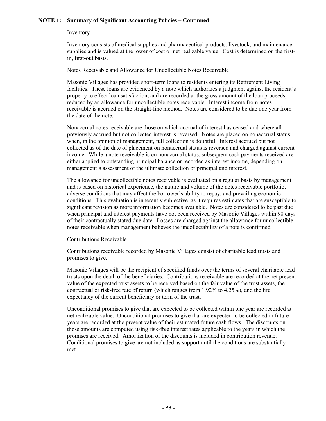#### **Inventory**

Inventory consists of medical supplies and pharmaceutical products, livestock, and maintenance supplies and is valued at the lower of cost or net realizable value. Cost is determined on the firstin, first-out basis.

#### Notes Receivable and Allowance for Uncollectible Notes Receivable

Masonic Villages has provided short-term loans to residents entering its Retirement Living facilities. These loans are evidenced by a note which authorizes a judgment against the resident's property to effect loan satisfaction, and are recorded at the gross amount of the loan proceeds, reduced by an allowance for uncollectible notes receivable. Interest income from notes receivable is accrued on the straight-line method. Notes are considered to be due one year from the date of the note.

Nonaccrual notes receivable are those on which accrual of interest has ceased and where all previously accrued but not collected interest is reversed. Notes are placed on nonaccrual status when, in the opinion of management, full collection is doubtful. Interest accrued but not collected as of the date of placement on nonaccrual status is reversed and charged against current income. While a note receivable is on nonaccrual status, subsequent cash payments received are either applied to outstanding principal balance or recorded as interest income, depending on management's assessment of the ultimate collection of principal and interest.

The allowance for uncollectible notes receivable is evaluated on a regular basis by management and is based on historical experience, the nature and volume of the notes receivable portfolio, adverse conditions that may affect the borrower's ability to repay, and prevailing economic conditions. This evaluation is inherently subjective, as it requires estimates that are susceptible to significant revision as more information becomes available. Notes are considered to be past due when principal and interest payments have not been received by Masonic Villages within 90 days of their contractually stated due date. Losses are charged against the allowance for uncollectible notes receivable when management believes the uncollectability of a note is confirmed.

#### Contributions Receivable

Contributions receivable recorded by Masonic Villages consist of charitable lead trusts and promises to give.

Masonic Villages will be the recipient of specified funds over the terms of several charitable lead trusts upon the death of the beneficiaries. Contributions receivable are recorded at the net present value of the expected trust assets to be received based on the fair value of the trust assets, the contractual or risk-free rate of return (which ranges from 1.92% to 4.25%), and the life expectancy of the current beneficiary or term of the trust.

Unconditional promises to give that are expected to be collected within one year are recorded at net realizable value. Unconditional promises to give that are expected to be collected in future years are recorded at the present value of their estimated future cash flows. The discounts on those amounts are computed using risk-free interest rates applicable to the years in which the promises are received. Amortization of the discounts is included in contribution revenue. Conditional promises to give are not included as support until the conditions are substantially met.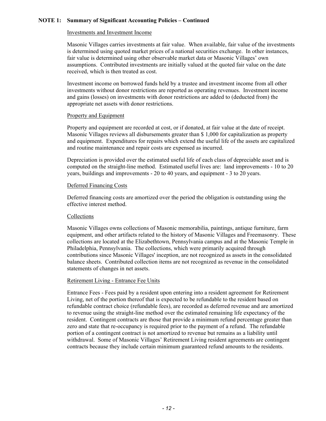#### Investments and Investment Income

Masonic Villages carries investments at fair value. When available, fair value of the investments is determined using quoted market prices of a national securities exchange. In other instances, fair value is determined using other observable market data or Masonic Villages' own assumptions. Contributed investments are initially valued at the quoted fair value on the date received, which is then treated as cost.

Investment income on borrowed funds held by a trustee and investment income from all other investments without donor restrictions are reported as operating revenues. Investment income and gains (losses) on investments with donor restrictions are added to (deducted from) the appropriate net assets with donor restrictions.

#### Property and Equipment

Property and equipment are recorded at cost, or if donated, at fair value at the date of receipt. Masonic Villages reviews all disbursements greater than \$ 1,000 for capitalization as property and equipment. Expenditures for repairs which extend the useful life of the assets are capitalized and routine maintenance and repair costs are expensed as incurred.

Depreciation is provided over the estimated useful life of each class of depreciable asset and is computed on the straight-line method. Estimated useful lives are: land improvements - 10 to 20 years, buildings and improvements - 20 to 40 years, and equipment - 3 to 20 years.

### Deferred Financing Costs

Deferred financing costs are amortized over the period the obligation is outstanding using the effective interest method.

### **Collections**

Masonic Villages owns collections of Masonic memorabilia, paintings, antique furniture, farm equipment, and other artifacts related to the history of Masonic Villages and Freemasonry. These collections are located at the Elizabethtown, Pennsylvania campus and at the Masonic Temple in Philadelphia, Pennsylvania. The collections, which were primarily acquired through contributions since Masonic Villages' inception, are not recognized as assets in the consolidated balance sheets. Contributed collection items are not recognized as revenue in the consolidated statements of changes in net assets.

### Retirement Living - Entrance Fee Units

Entrance Fees - Fees paid by a resident upon entering into a resident agreement for Retirement Living, net of the portion thereof that is expected to be refundable to the resident based on refundable contract choice (refundable fees), are recorded as deferred revenue and are amortized to revenue using the straight-line method over the estimated remaining life expectancy of the resident. Contingent contracts are those that provide a minimum refund percentage greater than zero and state that re-occupancy is required prior to the payment of a refund. The refundable portion of a contingent contract is not amortized to revenue but remains as a liability until withdrawal. Some of Masonic Villages' Retirement Living resident agreements are contingent contracts because they include certain minimum guaranteed refund amounts to the residents.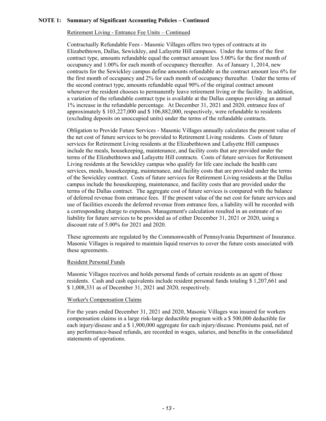### Retirement Living - Entrance Fee Units – Continued

Contractually Refundable Fees - Masonic Villages offers two types of contracts at its Elizabethtown, Dallas, Sewickley, and Lafayette Hill campuses. Under the terms of the first contract type, amounts refundable equal the contract amount less 5.00% for the first month of occupancy and 1.00% for each month of occupancy thereafter. As of January 1, 2014, new contracts for the Sewickley campus define amounts refundable as the contract amount less 6% for the first month of occupancy and 2% for each month of occupancy thereafter. Under the terms of the second contract type, amounts refundable equal 90% of the original contract amount whenever the resident chooses to permanently leave retirement living or the facility. In addition, a variation of the refundable contract type is available at the Dallas campus providing an annual 1% increase in the refundable percentage. At December 31, 2021 and 2020, entrance fees of approximately \$ 103,227,000 and \$ 106,882,000, respectively, were refundable to residents (excluding deposits on unoccupied units) under the terms of the refundable contracts.

Obligation to Provide Future Services - Masonic Villages annually calculates the present value of the net cost of future services to be provided to Retirement Living residents. Costs of future services for Retirement Living residents at the Elizabethtown and Lafayette Hill campuses include the meals, housekeeping, maintenance, and facility costs that are provided under the terms of the Elizabethtown and Lafayette Hill contracts. Costs of future services for Retirement Living residents at the Sewickley campus who qualify for life care include the health care services, meals, housekeeping, maintenance, and facility costs that are provided under the terms of the Sewickley contract. Costs of future services for Retirement Living residents at the Dallas campus include the housekeeping, maintenance, and facility costs that are provided under the terms of the Dallas contract. The aggregate cost of future services is compared with the balance of deferred revenue from entrance fees. If the present value of the net cost for future services and use of facilities exceeds the deferred revenue from entrance fees, a liability will be recorded with a corresponding charge to expenses. Management's calculation resulted in an estimate of no liability for future services to be provided as of either December 31, 2021 or 2020, using a discount rate of 5.00% for 2021 and 2020.

These agreements are regulated by the Commonwealth of Pennsylvania Department of Insurance. Masonic Villages is required to maintain liquid reserves to cover the future costs associated with these agreements.

### Resident Personal Funds

Masonic Villages receives and holds personal funds of certain residents as an agent of those residents. Cash and cash equivalents include resident personal funds totaling \$ 1,207,661 and \$ 1,008,331 as of December 31, 2021 and 2020, respectively.

#### Worker's Compensation Claims

For the years ended December 31, 2021 and 2020, Masonic Villages was insured for workers compensation claims in a large risk-large deductible program with a \$ 500,000 deductible for each injury/disease and a \$ 1,900,000 aggregate for each injury/disease. Premiums paid, net of any performance-based refunds, are recorded in wages, salaries, and benefits in the consolidated statements of operations.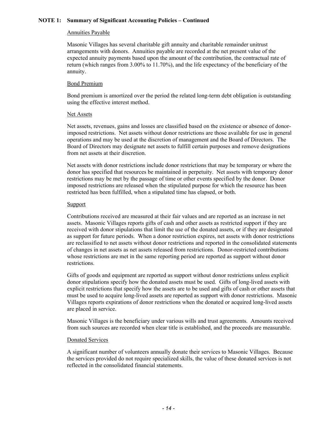### Annuities Payable

Masonic Villages has several charitable gift annuity and charitable remainder unitrust arrangements with donors. Annuities payable are recorded at the net present value of the expected annuity payments based upon the amount of the contribution, the contractual rate of return (which ranges from 3.00% to 11.70%), and the life expectancy of the beneficiary of the annuity.

#### Bond Premium

Bond premium is amortized over the period the related long-term debt obligation is outstanding using the effective interest method.

#### Net Assets

Net assets, revenues, gains and losses are classified based on the existence or absence of donorimposed restrictions. Net assets without donor restrictions are those available for use in general operations and may be used at the discretion of management and the Board of Directors. The Board of Directors may designate net assets to fulfill certain purposes and remove designations from net assets at their discretion.

Net assets with donor restrictions include donor restrictions that may be temporary or where the donor has specified that resources be maintained in perpetuity. Net assets with temporary donor restrictions may be met by the passage of time or other events specified by the donor. Donor imposed restrictions are released when the stipulated purpose for which the resource has been restricted has been fulfilled, when a stipulated time has elapsed, or both.

#### **Support**

Contributions received are measured at their fair values and are reported as an increase in net assets. Masonic Villages reports gifts of cash and other assets as restricted support if they are received with donor stipulations that limit the use of the donated assets, or if they are designated as support for future periods. When a donor restriction expires, net assets with donor restrictions are reclassified to net assets without donor restrictions and reported in the consolidated statements of changes in net assets as net assets released from restrictions. Donor-restricted contributions whose restrictions are met in the same reporting period are reported as support without donor restrictions.

Gifts of goods and equipment are reported as support without donor restrictions unless explicit donor stipulations specify how the donated assets must be used. Gifts of long-lived assets with explicit restrictions that specify how the assets are to be used and gifts of cash or other assets that must be used to acquire long-lived assets are reported as support with donor restrictions. Masonic Villages reports expirations of donor restrictions when the donated or acquired long-lived assets are placed in service.

Masonic Villages is the beneficiary under various wills and trust agreements. Amounts received from such sources are recorded when clear title is established, and the proceeds are measurable.

#### Donated Services

A significant number of volunteers annually donate their services to Masonic Villages. Because the services provided do not require specialized skills, the value of these donated services is not reflected in the consolidated financial statements.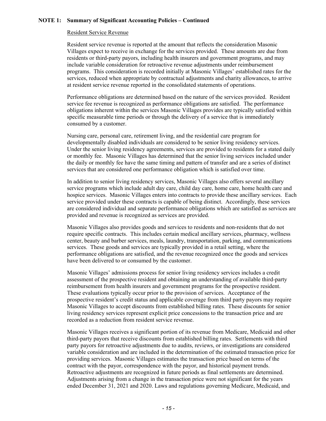#### Resident Service Revenue

Resident service revenue is reported at the amount that reflects the consideration Masonic Villages expect to receive in exchange for the services provided. These amounts are due from residents or third-party payors, including health insurers and government programs, and may include variable consideration for retroactive revenue adjustments under reimbursement programs. This consideration is recorded initially at Masonic Villages' established rates for the services, reduced when appropriate by contractual adjustments and charity allowances, to arrive at resident service revenue reported in the consolidated statements of operations.

Performance obligations are determined based on the nature of the services provided. Resident service fee revenue is recognized as performance obligations are satisfied. The performance obligations inherent within the services Masonic Villages provides are typically satisfied within specific measurable time periods or through the delivery of a service that is immediately consumed by a customer.

Nursing care, personal care, retirement living, and the residential care program for developmentally disabled individuals are considered to be senior living residency services. Under the senior living residency agreements, services are provided to residents for a stated daily or monthly fee. Masonic Villages has determined that the senior living services included under the daily or monthly fee have the same timing and pattern of transfer and are a series of distinct services that are considered one performance obligation which is satisfied over time.

In addition to senior living residency services, Masonic Villages also offers several ancillary service programs which include adult day care, child day care, home care, home health care and hospice services. Masonic Villages enters into contracts to provide these ancillary services. Each service provided under these contracts is capable of being distinct. Accordingly, these services are considered individual and separate performance obligations which are satisfied as services are provided and revenue is recognized as services are provided.

Masonic Villages also provides goods and services to residents and non-residents that do not require specific contracts. This includes certain medical ancillary services, pharmacy, wellness center, beauty and barber services, meals, laundry, transportation, parking, and communications services. These goods and services are typically provided in a retail setting, where the performance obligations are satisfied, and the revenue recognized once the goods and services have been delivered to or consumed by the customer.

Masonic Villages' admissions process for senior living residency services includes a credit assessment of the prospective resident and obtaining an understanding of available third-party reimbursement from health insurers and government programs for the prospective resident. These evaluations typically occur prior to the provision of services. Acceptance of the prospective resident's credit status and applicable coverage from third party payors may require Masonic Villages to accept discounts from established billing rates. These discounts for senior living residency services represent explicit price concessions to the transaction price and are recorded as a reduction from resident service revenue.

Masonic Villages receives a significant portion of its revenue from Medicare, Medicaid and other third-party payors that receive discounts from established billing rates. Settlements with third party payors for retroactive adjustments due to audits, reviews, or investigations are considered variable consideration and are included in the determination of the estimated transaction price for providing services. Masonic Villages estimates the transaction price based on terms of the contract with the payor, correspondence with the payor, and historical payment trends. Retroactive adjustments are recognized in future periods as final settlements are determined. Adjustments arising from a change in the transaction price were not significant for the years ended December 31, 2021 and 2020. Laws and regulations governing Medicare, Medicaid, and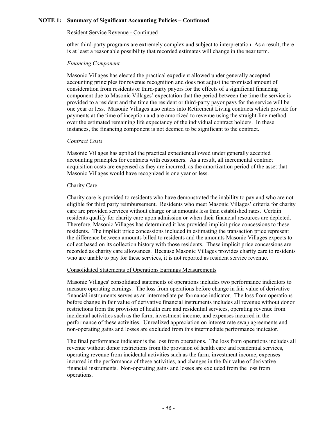#### Resident Service Revenue - Continued

other third-party programs are extremely complex and subject to interpretation. As a result, there is at least a reasonable possibility that recorded estimates will change in the near term.

#### *Financing Component*

Masonic Villages has elected the practical expedient allowed under generally accepted accounting principles for revenue recognition and does not adjust the promised amount of consideration from residents or third-party payors for the effects of a significant financing component due to Masonic Villages' expectation that the period between the time the service is provided to a resident and the time the resident or third-party payor pays for the service will be one year or less. Masonic Villages also enters into Retirement Living contracts which provide for payments at the time of inception and are amortized to revenue using the straight-line method over the estimated remaining life expectancy of the individual contract holders. In these instances, the financing component is not deemed to be significant to the contract.

#### *Contract Costs*

Masonic Villages has applied the practical expedient allowed under generally accepted accounting principles for contracts with customers. As a result, all incremental contract acquisition costs are expensed as they are incurred, as the amortization period of the asset that Masonic Villages would have recognized is one year or less.

#### Charity Care

Charity care is provided to residents who have demonstrated the inability to pay and who are not eligible for third party reimbursement. Residents who meet Masonic Villages' criteria for charity care are provided services without charge or at amounts less than established rates. Certain residents qualify for charity care upon admission or when their financial resources are depleted. Therefore, Masonic Villages has determined it has provided implicit price concessions to these residents. The implicit price concessions included in estimating the transaction price represent the difference between amounts billed to residents and the amounts Masonic Villages expects to collect based on its collection history with those residents. These implicit price concessions are recorded as charity care allowances. Because Masonic Villages provides charity care to residents who are unable to pay for these services, it is not reported as resident service revenue.

### Consolidated Statements of Operations Earnings Measurements

Masonic Villages' consolidated statements of operations includes two performance indicators to measure operating earnings. The loss from operations before change in fair value of derivative financial instruments serves as an intermediate performance indicator. The loss from operations before change in fair value of derivative financial instruments includes all revenue without donor restrictions from the provision of health care and residential services, operating revenue from incidental activities such as the farm, investment income, and expenses incurred in the performance of these activities. Unrealized appreciation on interest rate swap agreements and non-operating gains and losses are excluded from this intermediate performance indicator.

The final performance indicator is the loss from operations. The loss from operations includes all revenue without donor restrictions from the provision of health care and residential services, operating revenue from incidental activities such as the farm, investment income, expenses incurred in the performance of these activities, and changes in the fair value of derivative financial instruments. Non-operating gains and losses are excluded from the loss from operations.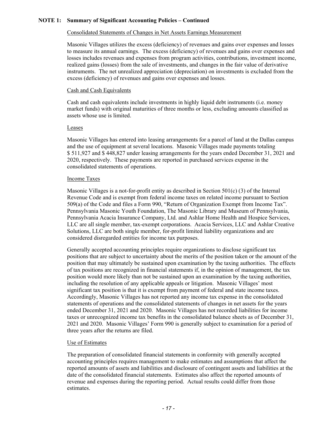# Consolidated Statements of Changes in Net Assets Earnings Measurement

Masonic Villages utilizes the excess (deficiency) of revenues and gains over expenses and losses to measure its annual earnings. The excess (deficiency) of revenues and gains over expenses and losses includes revenues and expenses from program activities, contributions, investment income, realized gains (losses) from the sale of investments, and changes in the fair value of derivative instruments. The net unrealized appreciation (depreciation) on investments is excluded from the excess (deficiency) of revenues and gains over expenses and losses.

### Cash and Cash Equivalents

Cash and cash equivalents include investments in highly liquid debt instruments (i.e. money market funds) with original maturities of three months or less, excluding amounts classified as assets whose use is limited.

### Leases

Masonic Villages has entered into leasing arrangements for a parcel of land at the Dallas campus and the use of equipment at several locations. Masonic Villages made payments totaling \$ 511,927 and \$ 448,827 under leasing arrangements for the years ended December 31, 2021 and 2020, respectively. These payments are reported in purchased services expense in the consolidated statements of operations.

#### Income Taxes

Masonic Villages is a not-for-profit entity as described in Section 501(c) (3) of the Internal Revenue Code and is exempt from federal income taxes on related income pursuant to Section 509(a) of the Code and files a Form 990, "Return of Organization Exempt from Income Tax". Pennsylvania Masonic Youth Foundation, The Masonic Library and Museum of Pennsylvania, Pennsylvania Acacia Insurance Company, Ltd. and Ashlar Home Health and Hospice Services, LLC are all single member, tax-exempt corporations. Acacia Services, LLC and Ashlar Creative Solutions, LLC are both single member, for-profit limited liability organizations and are considered disregarded entities for income tax purposes.

Generally accepted accounting principles require organizations to disclose significant tax positions that are subject to uncertainty about the merits of the position taken or the amount of the position that may ultimately be sustained upon examination by the taxing authorities. The effects of tax positions are recognized in financial statements if, in the opinion of management, the tax position would more likely than not be sustained upon an examination by the taxing authorities, including the resolution of any applicable appeals or litigation. Masonic Villages' most significant tax position is that it is exempt from payment of federal and state income taxes. Accordingly, Masonic Villages has not reported any income tax expense in the consolidated statements of operations and the consolidated statements of changes in net assets for the years ended December 31, 2021 and 2020. Masonic Villages has not recorded liabilities for income taxes or unrecognized income tax benefits in the consolidated balance sheets as of December 31, 2021 and 2020. Masonic Villages' Form 990 is generally subject to examination for a period of three years after the returns are filed.

### Use of Estimates

The preparation of consolidated financial statements in conformity with generally accepted accounting principles requires management to make estimates and assumptions that affect the reported amounts of assets and liabilities and disclosure of contingent assets and liabilities at the date of the consolidated financial statements. Estimates also affect the reported amounts of revenue and expenses during the reporting period. Actual results could differ from those estimates.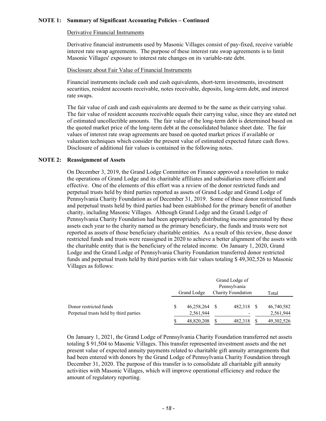#### Derivative Financial Instruments

Derivative financial instruments used by Masonic Villages consist of pay-fixed, receive variable interest rate swap agreements. The purpose of these interest rate swap agreements is to limit Masonic Villages' exposure to interest rate changes on its variable-rate debt.

#### Disclosure about Fair Value of Financial Instruments

Financial instruments include cash and cash equivalents, short-term investments, investment securities, resident accounts receivable, notes receivable, deposits, long-term debt, and interest rate swaps.

The fair value of cash and cash equivalents are deemed to be the same as their carrying value. The fair value of resident accounts receivable equals their carrying value, since they are stated net of estimated uncollectible amounts. The fair value of the long-term debt is determined based on the quoted market price of the long-term debt at the consolidated balance sheet date. The fair values of interest rate swap agreements are based on quoted market prices if available or valuation techniques which consider the present value of estimated expected future cash flows. Disclosure of additional fair values is contained in the following notes.

#### **NOTE 2: Reassignment of Assets**

On December 3, 2019, the Grand Lodge Committee on Finance approved a resolution to make the operations of Grand Lodge and its charitable affiliates and subsidiaries more efficient and effective. One of the elements of this effort was a review of the donor restricted funds and perpetual trusts held by third parties reported as assets of Grand Lodge and Grand Lodge of Pennsylvania Charity Foundation as of December 31, 2019. Some of these donor restricted funds and perpetual trusts held by third parties had been established for the primary benefit of another charity, including Masonic Villages. Although Grand Lodge and the Grand Lodge of Pennsylvania Charity Foundation had been appropriately distributing income generated by these assets each year to the charity named as the primary beneficiary, the funds and trusts were not reported as assets of those beneficiary charitable entities. As a result of this review, these donor restricted funds and trusts were reassigned in 2020 to achieve a better alignment of the assets with the charitable entity that is the beneficiary of the related income. On January 1, 2020, Grand Lodge and the Grand Lodge of Pennsylvania Charity Foundation transferred donor restricted funds and perpetual trusts held by third parties with fair values totaling \$ 49,302,526 to Masonic Villages as follows:

|                                                                  |   | Grand Lodge of<br>Pennsylvania           |  |         |       |                         |  |
|------------------------------------------------------------------|---|------------------------------------------|--|---------|-------|-------------------------|--|
|                                                                  |   | <b>Charity Foundation</b><br>Grand Lodge |  |         | Total |                         |  |
| Donor restricted funds<br>Perpetual trusts held by third parties | S | 46,258,264 \$<br>2,561,944               |  | 482,318 | -8    | 46,740,582<br>2,561,944 |  |
|                                                                  |   | 48,820,208                               |  | 482,318 |       | 49, 302, 526            |  |

On January 1, 2021, the Grand Lodge of Pennsylvania Charity Foundation transferred net assets totaling \$ 91,504 to Masonic Villages. This transfer represented investment assets and the net present value of expected annuity payments related to charitable gift annuity arrangements that had been entered with donors by the Grand Lodge of Pennsylvania Charity Foundation through December 31, 2020. The purpose of this transfer is to consolidate all charitable gift annuity activities with Masonic Villages, which will improve operational efficiency and reduce the amount of regulatory reporting.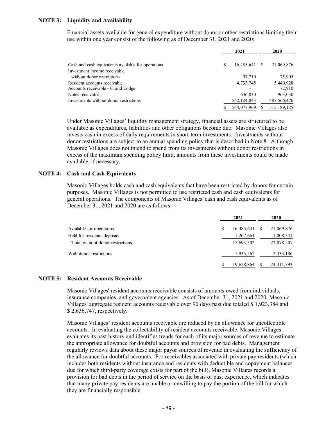## **NOTE 3: Liquidity and Availability**

Financial assets available for general expenditure without donor or other restrictions limiting their use within one year consist of the following as of December 31, 2021 and 2020:

|                                                    |   | 2021          | 2020          |
|----------------------------------------------------|---|---------------|---------------|
| Cash and cash equivalents available for operations | S | 16,485,641    | 21,069,876    |
| Investment income receivable                       |   |               |               |
| without donor restrictions                         |   | 97.710        | 75,905        |
| Resident accounts receivable                       |   | 4,733,745     | 5,440,928     |
| Accounts receivable - Grand Lodge                  |   |               | 72,910        |
| Notes receivable                                   |   | 636,830       | 963,030       |
| Investments without donor restrictions             |   | 542, 124, 043 | 487,566,476   |
|                                                    |   | 564,077,969   | 515, 189, 125 |

Under Masonic Villages' liquidity management strategy, financial assets are structured to be available as expenditures, liabilities and other obligations become due. Masonic Villages also invests cash in excess of daily requirements in short-term investments. Investments without donor restrictions are subject to an annual spending policy that is described in Note 8. Although Masonic Villages does not intend to spend from its investments without donor restrictions in excess of the maximum spending policy limit, amounts from these investments could be made available, if necessary.

### **NOTE 4: Cash and Cash Equivalents**

Masonic Villages holds cash and cash equivalents that have been restricted by donors for certain purposes. Masonic Villages is not permitted to use restricted cash and cash equivalents for general operations. The components of Masonic Villages' cash and cash equivalents as of December 31, 2021 and 2020 are as follows:

|                                  |   | 2021       | 2020       |
|----------------------------------|---|------------|------------|
| Available for operations         | S | 16,485,641 | 21,069,876 |
| Held for residents deposits      |   | 1,207,661  | 1,008,331  |
| Total without donor restrictions |   | 17,693,302 | 22,078,207 |
| With donor restrictions          |   | 1,935,562  | 2,333,186  |
|                                  |   | 19,628,864 | 24,411,393 |

#### **NOTE 5: Resident Accounts Receivable**

Masonic Villages' resident accounts receivable consists of amounts owed from individuals, insurance companies, and government agencies. As of December 31, 2021 and 2020, Masonic Villages' aggregate resident accounts receivable over 90 days past due totaled \$ 1,923,384 and \$ 2,636,747, respectively.

Masonic Villages' resident accounts receivable are reduced by an allowance for uncollectible accounts. In evaluating the collectability of resident accounts receivable, Masonic Villages evaluates its past history and identifies trends for each of its major sources of revenue to estimate the appropriate allowance for doubtful accounts and provision for bad debts. Management regularly reviews data about these major payor sources of revenue in evaluating the sufficiency of the allowance for doubtful accounts. For receivables associated with private pay residents (which includes both residents without insurance and residents with deductible and copayment balances due for which third-party coverage exists for part of the bill), Masonic Villages records a provision for bad debts in the period of service on the basis of past experience, which indicates that many private pay residents are unable or unwilling to pay the portion of the bill for which they are financially responsible.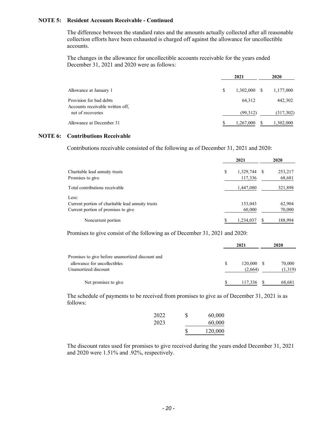### **NOTE 5: Resident Accounts Receivable - Continued**

The difference between the standard rates and the amounts actually collected after all reasonable collection efforts have been exhausted is charged off against the allowance for uncollectible accounts.

The changes in the allowance for uncollectible accounts receivable for the years ended December 31, 2021 and 2020 were as follows:

|                                                             |   | 2021           | 2020      |  |
|-------------------------------------------------------------|---|----------------|-----------|--|
| Allowance at January 1                                      | S | $1,302,000$ \$ | 1,177,000 |  |
| Provision for bad debts<br>Accounts receivable written off, |   | 64,312         | 442,302   |  |
| net of recoveries                                           |   | (99,312)       | (317,302) |  |
| Allowance at December 31                                    |   | 1,267,000      | 1,302,000 |  |

#### **NOTE 6: Contributions Receivable**

Contributions receivable consisted of the following as of December 31, 2021 and 2020:

|                                                                                                   | 2021                          | 2020              |
|---------------------------------------------------------------------------------------------------|-------------------------------|-------------------|
| Charitable lead annuity trusts<br>Promises to give                                                | \$<br>1,329,744 \$<br>117,336 | 253,217<br>68,681 |
| Total contributions receivable                                                                    | 1,447,080                     | 321,898           |
| Less:<br>Current portion of charitable lead annuity trusts<br>Current portion of promises to give | 153,043<br>60,000             | 62,904<br>70,000  |
| Noncurrent portion                                                                                | S<br>1,234,037                | 188.994           |

Promises to give consist of the following as of December 31, 2021 and 2020:

|                                                      | 2021          |                       | 2020              |
|------------------------------------------------------|---------------|-----------------------|-------------------|
| Promises to give before unamortized discount and     |               |                       |                   |
| allowance for uncollectibles<br>Unamortized discount | <sup>\$</sup> | 120,000 \$<br>(2,664) | 70,000<br>(1,319) |
| Net promises to give                                 |               | 117,336               | 68,681            |

The schedule of payments to be received from promises to give as of December 31, 2021 is as follows:

| 2023 |   | 60,000  |
|------|---|---------|
|      | S | 120,000 |

The discount rates used for promises to give received during the years ended December 31, 2021 and 2020 were 1.51% and .92%, respectively.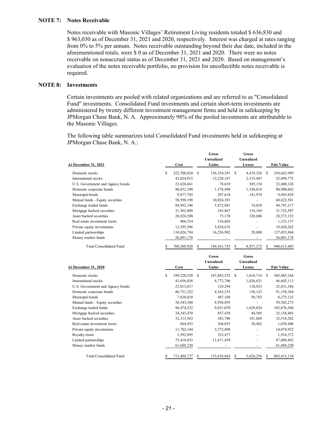#### **NOTE 7: Notes Receivable**

Notes receivable with Masonic Villages' Retirement Living residents totaled \$ 636,830 and \$ 963,030 as of December 31, 2021 and 2020, respectively. Interest was charged at rates ranging from 0% to 5% per annum. Notes receivable outstanding beyond their due date, included in the aforementioned totals, were \$ 0 as of December 31, 2021 and 2020. There were no notes receivable on nonaccrual status as of December 31, 2021 and 2020. Based on management's evaluation of the notes receivable portfolio, no provision for uncollectible notes receivable is required.

#### **NOTE 8: Investments**

Certain investments are pooled with related organizations and are referred to as "Consolidated Fund" investments. Consolidated Fund investments and certain short-term investments are administered by twenty different investment management firms and held in safekeeping by JPMorgan Chase Bank, N. A. Approximately 98% of the pooled investments are attributable to the Masonic Villages.

The following table summarizes total Consolidated Fund investments held in safekeeping at JPMorgan Chase Bank, N. A.:

| <u>At December 31, 2021</u>      | Cost             | <b>Gross</b><br>Unrealized<br>Gains | <b>Gross</b><br>Unrealized<br>Losses | <b>Fair Value</b> |
|----------------------------------|------------------|-------------------------------------|--------------------------------------|-------------------|
| Domestic stocks                  | S<br>222,708,024 | 136,354,291<br>S                    | 4,419,326<br>S                       | 354,642,989<br>-S |
| International stocks             | 42,024,015       | 12,228,167                          | 2,153,407                            | 52,098,775        |
| U.S. Government and Agency bonds | 23,626,661       | 78,619                              | 305,154                              | 23,400,126        |
| Domestic corporate bonds         | 90,852,390       | 1,378,490                           | 1,330,818                            | 90,900,062        |
| Municipal bonds                  | 9,877,785        | 207,618                             | 141,974                              | 9,943,429         |
| Mutual funds - Equity securities | 50,598,190       | 10,024,391                          |                                      | 60,622,581        |
| Exchange traded funds            | 88,992,346       | 5,872,881                           | 74.010                               | 94,791,217        |
| Mortgage backed securities       | 21,562,809       | 343,867                             | 154,169                              | 21,752,507        |
| Asset backed securities          | 28,826,588       | 75,170                              | 328,606                              | 28,573,152        |
| Real estate investment trusts    | 806,554          | 516,603                             |                                      | 1,323,157         |
| Private equity investments       | 13,595,586       | 5,824,676                           |                                      | 19,420,262        |
| Limited partnerships             | 110,826,794      | 16,256,982                          | 29,808                               | 127,053,968       |
| Money market funds               | 56,091,178       |                                     |                                      | 56,091,178        |
| <b>Total Consolidated Fund</b>   | 760,388,920      | 189, 161, 755                       | 8,937,272<br>S                       | 940,613,403       |

**Gross Gross**

| <b>At December 31, 2020</b>      |   | Cost         |   | <b>Unrealized</b><br>Gains |   | Unrealized<br>Losses |               | <b>Fair Value</b> |
|----------------------------------|---|--------------|---|----------------------------|---|----------------------|---------------|-------------------|
| Domestic stocks                  | S | 199,220,528  | S | 107,883,352                | S | 1,618,714            | <sup>\$</sup> | 305,485,166       |
| International stocks             |   | 41,656,038   |   | 6,772,706                  |   | 1,826,631            |               | 46,602,113        |
| U.S. Government and Agency bonds |   | 25,013,017   |   | 129,294                    |   | 110,925              |               | 25,031,386        |
| Domestic corporate bonds         |   | 86,731,252   |   | 4,563,235                  |   | 136,123              |               | 91,158,364        |
| Municipal bonds                  |   | 7,838,810    |   | 487,108                    |   | 50,783               |               | 8,275,135         |
| Mutual funds - Equity securities |   | 50, 543, 380 |   | 8,958,893                  |   |                      |               | 59,502,273        |
| Exchange traded funds            |   | 96,474,522   |   | 9,031,070                  |   | 1,629,024            |               | 103,876,568       |
| Mortgage backed securities       |   | 24, 345, 470 |   | 857,438                    |   | 44,505               |               | 25,158,403        |
| Asset backed securities          |   | 32, 315, 563 |   | 383,788                    |   | 181,069              |               | 32,518,282        |
| Real estate investment trusts    |   | 864,855      |   | 204,035                    |   | 30,482               |               | 1,038,408         |
| Private equity investments       |   | 11,702,144   |   | 2,372,808                  |   |                      |               | 14,074,952        |
| Royalty trusts                   |   | 1,592,895    |   | 323,477                    |   |                      |               | 1,916,372         |
| Limited partnerships             |   | 75,418,033   |   | 11,671,459                 |   |                      |               | 87,089,492        |
| Money market funds               |   | 61,688,220   |   |                            |   |                      |               | 61,688,220        |
| <b>Total Consolidated Fund</b>   |   | 715,404,727  |   | 153,638,663                | S | 5,628,256            |               | 863,415,134       |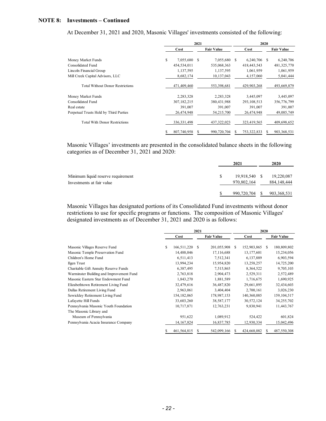### **NOTE 8: Investments – Continued**

At December 31, 2021 and 2020, Masonic Villages' investments consisted of the following:

|                                         | 2021            |    |                   | 2020 |                |  |                   |
|-----------------------------------------|-----------------|----|-------------------|------|----------------|--|-------------------|
|                                         | Cost            |    | <b>Fair Value</b> |      | Cost           |  | <b>Fair Value</b> |
| Money Market Funds                      | \$<br>7,055,680 | \$ | 7,055,680         | S    | $6,240,706$ \$ |  | 6,240,706         |
| Consolidated Fund                       | 454,534,011     |    | 535,068,363       |      | 418, 443, 543  |  | 481,325,770       |
| Lincoln Financial Group                 | 1,137,595       |    | 1,137,595         |      | 1,061,959      |  | 1,061,959         |
| Mill Creek Capital Advisors, LLC        | 8,682,174       |    | 10,137,043        |      | 4,157,060      |  | 5,041,444         |
| <b>Total Without Donor Restrictions</b> | 471,409,460     |    | 553,398,681       |      | 429,903,268    |  | 493,669,879       |
| Money Market Funds                      | 2,283,328       |    | 2,283,328         |      | 3,445,097      |  | 3,445,097         |
| Consolidated Fund                       | 307, 182, 215   |    | 380,431,988       |      | 293, 108, 513  |  | 356,776,799       |
| Real estate                             | 391,007         |    | 391,007           |      | 391,007        |  | 391,007           |
| Perpetual Trusts Held by Third Parties  | 26,474,948      |    | 54,215,700        |      | 26,474,948     |  | 49,085,749        |
| <b>Total With Donor Restrictions</b>    | 336, 331, 498   |    | 437, 322, 023     |      | 323,419,565    |  | 409,698,652       |
|                                         | 807,740,958     |    | 990,720,704       |      | 753,322,833    |  | 903, 368, 531     |

Masonic Villages' investments are presented in the consolidated balance sheets in the following categories as of December 31, 2021 and 2020:

|                                                                 |   | 2021                         | 2020                      |
|-----------------------------------------------------------------|---|------------------------------|---------------------------|
| Minimum liquid reserve requirement<br>Investments at fair value | S | 19,918,540 \$<br>970,802,164 | 19,220,087<br>884,148,444 |
|                                                                 |   | 990,720,704 \$               | 903, 368, 531             |

Masonic Villages has designated portions of its Consolidated Fund investments without donor restrictions to use for specific programs or functions. The composition of Masonic Villages' designated investments as of December 31, 2021 and 2020 is as follows:

|                                          | 2021                |     |                   | 2020 |              |    |                   |
|------------------------------------------|---------------------|-----|-------------------|------|--------------|----|-------------------|
|                                          | Cost                |     | <b>Fair Value</b> |      | Cost         |    | <b>Fair Value</b> |
| Masonic Villages Reserve Fund            | \$<br>166,511,220   | \$. | 201,055,908       | S.   | 152,903,865  | S. | 180,809,802       |
| Masonic Temple Preservation Fund         | 14,488,046          |     | 17,116,688        |      | 13, 177, 601 |    | 15,234,056        |
| Children's Home Fund                     | 6,511,413           |     | 7,512,341         |      | 6,137,889    |    | 6,903,594         |
| Ilgen Trust                              | 13,994,234          |     | 15,954,820        |      | 13,258,257   |    | 14,725,200        |
| Charitable Gift Annuity Reserve Funds    | 6,387,495           |     | 7,515,865         |      | 8,364,522    |    | 9,705,103         |
| Warminster Building and Improvement Fund | 2,763,818           |     | 2,904,473         |      | 2,529,311    |    | 2,572,489         |
| Masonic Eastern Star Endowment Fund      | 1,843,270           |     | 1,881,589         |      | 1,716,675    |    | 1,690,925         |
| Elizabethtown Retirement Living Fund     | 32,479,616          |     | 36,487,820        |      | 29,661,895   |    | 32,434,603        |
| Dallas Retirement Living Fund            | 2,963,061           |     | 3,404,404         |      | 2,700,161    |    | 3,026,230         |
| Sewickley Retirement Living Fund         | 154, 182, 065       |     | 178,987,153       |      | 140,360,085  |    | 159, 104, 517     |
| Lafayette Hill Funds                     | 33,603,260          |     | 38,587,177        |      | 30,572,124   |    | 34,255,702        |
| Pennsylvania Masonic Youth Foundation    | 10,717,871          |     | 12,763,231        |      | 9,830,941    |    | 11,443,767        |
| The Masonic Library and                  |                     |     |                   |      |              |    |                   |
| Museum of Pennsylvania                   | 951,622             |     | 1,089,912         |      | 524,422      |    | 601,824           |
| Pennsylvania Acacia Insurance Company    | 14, 167, 824        |     | 16,837,785        |      | 12,930,334   |    | 15,042,496        |
|                                          | \$<br>461, 564, 815 |     | 542,099,166       | S    | 424,668,082  | S  | 487,550,308       |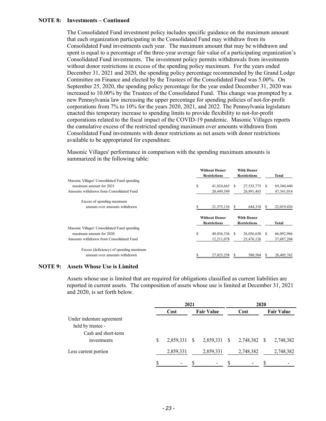### **NOTE 8: Investments – Continued**

The Consolidated Fund investment policy includes specific guidance on the maximum amount that each organization participating in the Consolidated Fund may withdraw from its Consolidated Fund investments each year. The maximum amount that may be withdrawn and spent is equal to a percentage of the three-year average fair value of a participating organization's Consolidated Fund investments. The investment policy permits withdrawals from investments without donor restrictions in excess of the spending policy maximum. For the years ended December 31, 2021 and 2020, the spending policy percentage recommended by the Grand Lodge Committee on Finance and elected by the Trustees of the Consolidated Fund was 5.00%. On September 25, 2020, the spending policy percentage for the year ended December 31, 2020 was increased to 10.00% by the Trustees of the Consolidated Fund. This change was prompted by a new Pennsylvania law increasing the upper percentage for spending policies of not-for-profit corporations from 7% to 10% for the years 2020, 2021, and 2022. The Pennsylvania legislature enacted this temporary increase to spending limits to provide flexibility to not-for-profit corporations related to the fiscal impact of the COVID-19 pandemic. Masonic Villages reports the cumulative excess of the restricted spending maximum over amounts withdrawn from Consolidated Fund investments with donor restrictions as net assets with donor restrictions available to be appropriated for expenditure.

Masonic Villages' performance in comparison with the spending maximum amounts is summarized in the following table:

|                                              | <b>Without Donor</b><br><b>Restrictions</b> |    | <b>With Donor</b><br><b>Restrictions</b> |    | Total      |
|----------------------------------------------|---------------------------------------------|----|------------------------------------------|----|------------|
| Masonic Villages' Consolidated Fund spending |                                             |    |                                          |    |            |
| maximum amount for 2021                      | \$<br>41,824,665                            | S. | 27,535,775                               | -S | 69,360,440 |
| Amounts withdrawn from Consolidated Fund     | 20,449,549                                  |    | 26,891,465                               |    | 47,341,014 |
| Excess of spending maximum                   |                                             |    |                                          |    |            |
| amount over amounts withdrawn                | 21,375,116                                  |    | 644,310                                  |    | 22,019,426 |
|                                              | <b>Without Donor</b>                        |    | <b>With Donor</b>                        |    |            |
|                                              | <b>Restrictions</b>                         |    | <b>Restrictions</b>                      |    | Total      |
| Masonic Villages' Consolidated Fund spending |                                             |    |                                          |    |            |
| maximum amount for 2020                      | \$<br>40,036,336                            | -S | 26,056,630 \$                            |    | 66,092,966 |
| Amounts withdrawn from Consolidated Fund     | 12,211,078                                  |    | 25,476,126                               |    | 37,687,204 |
| Excess (deficiency) of spending maximum      |                                             |    |                                          |    |            |
| amount over amounts withdrawn                | 27.825.258                                  |    | 580,504                                  |    | 28,405,762 |

#### **NOTE 9: Assets Whose Use is Limited**

Assets whose use is limited that are required for obligations classified as current liabilities are reported in current assets. The composition of assets whose use is limited at December 31, 2021 and 2020, is set forth below.

|                           |   | 2021           |  |                   | 2020         |                |    |                   |  |
|---------------------------|---|----------------|--|-------------------|--------------|----------------|----|-------------------|--|
|                           |   | Cost           |  | <b>Fair Value</b> |              | Cost           |    | <b>Fair Value</b> |  |
| Under indenture agreement |   |                |  |                   |              |                |    |                   |  |
| held by trustee -         |   |                |  |                   |              |                |    |                   |  |
| Cash and short-term       |   |                |  |                   |              |                |    |                   |  |
| investments               | S | 2,859,331 \$   |  | 2,859,331         | $\mathbb{S}$ | 2,748,382      | -S | 2,748,382         |  |
| Less current portion      |   | 2,859,331      |  | 2,859,331         |              | 2,748,382      |    | 2,748,382         |  |
|                           |   | $\blacksquare$ |  |                   |              | $\blacksquare$ |    |                   |  |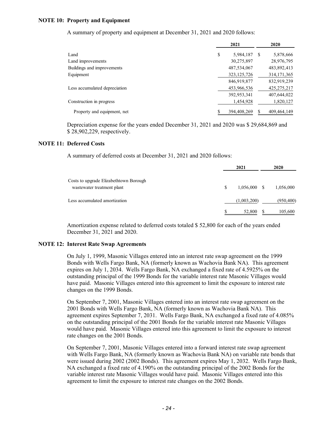### **NOTE 10: Property and Equipment**

A summary of property and equipment at December 31, 2021 and 2020 follows:

|                               | 2021            |    | 2020          |
|-------------------------------|-----------------|----|---------------|
| Land                          | \$<br>5,984,187 | -S | 5,878,666     |
| Land improvements             | 30,275,897      |    | 28,976,795    |
| Buildings and improvements    | 487,534,067     |    | 483,892,413   |
| Equipment                     | 323, 125, 726   |    | 314, 171, 365 |
|                               | 846,919,877     |    | 832,919,239   |
| Less accumulated depreciation | 453,966,536     |    | 425,275,217   |
|                               | 392,953,341     |    | 407,644,022   |
| Construction in progress      | 1,454,928       |    | 1,820,127     |
| Property and equipment, net   | 394,408,269     |    | 409,464,149   |

Depreciation expense for the years ended December 31, 2021 and 2020 was \$ 29,684,869 and \$ 28,902,229, respectively.

#### **NOTE 11: Deferred Costs**

A summary of deferred costs at December 31, 2021 and 2020 follows:

|                                        | 2021                 | 2020       |
|----------------------------------------|----------------------|------------|
| Costs to upgrade Elizabethtown Borough |                      |            |
| wastewater treatment plant             | \$<br>$1,056,000$ \$ | 1,056,000  |
| Less accumulated amortization          | (1,003,200)          | (950, 400) |
|                                        | 52,800               | 105,600    |

Amortization expense related to deferred costs totaled \$ 52,800 for each of the years ended December 31, 2021 and 2020.

#### **NOTE 12: Interest Rate Swap Agreements**

On July 1, 1999, Masonic Villages entered into an interest rate swap agreement on the 1999 Bonds with Wells Fargo Bank, NA (formerly known as Wachovia Bank NA). This agreement expires on July 1, 2034. Wells Fargo Bank, NA exchanged a fixed rate of 4.5925% on the outstanding principal of the 1999 Bonds for the variable interest rate Masonic Villages would have paid. Masonic Villages entered into this agreement to limit the exposure to interest rate changes on the 1999 Bonds.

On September 7, 2001, Masonic Villages entered into an interest rate swap agreement on the 2001 Bonds with Wells Fargo Bank, NA (formerly known as Wachovia Bank NA). This agreement expires September 7, 2031. Wells Fargo Bank, NA exchanged a fixed rate of 4.085% on the outstanding principal of the 2001 Bonds for the variable interest rate Masonic Villages would have paid. Masonic Villages entered into this agreement to limit the exposure to interest rate changes on the 2001 Bonds.

On September 7, 2001, Masonic Villages entered into a forward interest rate swap agreement with Wells Fargo Bank, NA (formerly known as Wachovia Bank NA) on variable rate bonds that were issued during 2002 (2002 Bonds). This agreement expires May 1, 2032. Wells Fargo Bank, NA exchanged a fixed rate of 4.190% on the outstanding principal of the 2002 Bonds for the variable interest rate Masonic Villages would have paid. Masonic Villages entered into this agreement to limit the exposure to interest rate changes on the 2002 Bonds.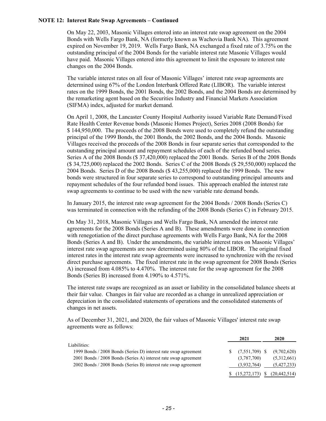### **NOTE 12: Interest Rate Swap Agreements – Continued**

On May 22, 2003, Masonic Villages entered into an interest rate swap agreement on the 2004 Bonds with Wells Fargo Bank, NA (formerly known as Wachovia Bank NA). This agreement expired on November 19, 2019. Wells Fargo Bank, NA exchanged a fixed rate of 3.75% on the outstanding principal of the 2004 Bonds for the variable interest rate Masonic Villages would have paid. Masonic Villages entered into this agreement to limit the exposure to interest rate changes on the 2004 Bonds.

The variable interest rates on all four of Masonic Villages' interest rate swap agreements are determined using 67% of the London Interbank Offered Rate (LIBOR). The variable interest rates on the 1999 Bonds, the 2001 Bonds, the 2002 Bonds, and the 2004 Bonds are determined by the remarketing agent based on the Securities Industry and Financial Markets Association (SIFMA) index, adjusted for market demand.

On April 1, 2008, the Lancaster County Hospital Authority issued Variable Rate Demand/Fixed Rate Health Center Revenue bonds (Masonic Homes Project), Series 2008 (2008 Bonds) for \$144,950,000. The proceeds of the 2008 Bonds were used to completely refund the outstanding principal of the 1999 Bonds, the 2001 Bonds, the 2002 Bonds, and the 2004 Bonds. Masonic Villages received the proceeds of the 2008 Bonds in four separate series that corresponded to the outstanding principal amount and repayment schedules of each of the refunded bond series. Series A of the 2008 Bonds (\$ 37,420,000) replaced the 2001 Bonds. Series B of the 2008 Bonds (\$ 34,725,000) replaced the 2002 Bonds. Series C of the 2008 Bonds (\$ 29,550,000) replaced the 2004 Bonds. Series D of the 2008 Bonds (\$ 43,255,000) replaced the 1999 Bonds. The new bonds were structured in four separate series to correspond to outstanding principal amounts and repayment schedules of the four refunded bond issues. This approach enabled the interest rate swap agreements to continue to be used with the new variable rate demand bonds.

In January 2015, the interest rate swap agreement for the 2004 Bonds / 2008 Bonds (Series C) was terminated in connection with the refunding of the 2008 Bonds (Series C) in February 2015.

On May 31, 2018, Masonic Villages and Wells Fargo Bank, NA amended the interest rate agreements for the 2008 Bonds (Series A and B). These amendments were done in connection with renegotiation of the direct purchase agreements with Wells Fargo Bank, NA for the 2008 Bonds (Series A and B). Under the amendments, the variable interest rates on Masonic Villages' interest rate swap agreements are now determined using 80% of the LIBOR. The original fixed interest rates in the interest rate swap agreements were increased to synchronize with the revised direct purchase agreements. The fixed interest rate in the swap agreement for 2008 Bonds (Series A) increased from 4.085% to 4.470%. The interest rate for the swap agreement for the 2008 Bonds (Series B) increased from 4.190% to 4.571%.

The interest rate swaps are recognized as an asset or liability in the consolidated balance sheets at their fair value. Changes in fair value are recorded as a change in unrealized appreciation or depreciation in the consolidated statements of operations and the consolidated statements of changes in net assets.

As of December 31, 2021, and 2020, the fair values of Masonic Villages' interest rate swap agreements were as follows:

|                                                                 | 2021                                | 2020        |
|-----------------------------------------------------------------|-------------------------------------|-------------|
| Liabilities:                                                    |                                     |             |
| 1999 Bonds / 2008 Bonds (Series D) interest rate swap agreement | $\sqrt{5}$ (7,551,709) \ $\sqrt{5}$ | (9,702,620) |
| 2001 Bonds / 2008 Bonds (Series A) interest rate swap agreement | (3,787,700)                         | (5,312,661) |
| 2002 Bonds / 2008 Bonds (Series B) interest rate swap agreement | (3,932,764)                         | (5,427,233) |
|                                                                 | $$(15,272,173) \$ (20,442,514)$     |             |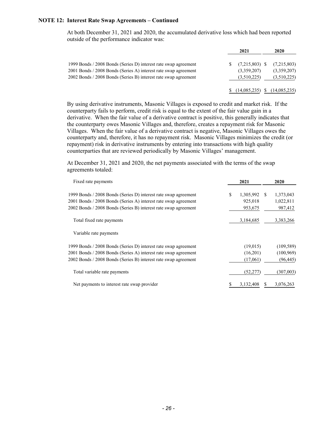#### **NOTE 12: Interest Rate Swap Agreements – Continued**

At both December 31, 2021 and 2020, the accumulated derivative loss which had been reported outside of the performance indicator was:

|                                                                                                                                    | 2021                       | 2020                       |
|------------------------------------------------------------------------------------------------------------------------------------|----------------------------|----------------------------|
| 1999 Bonds / 2008 Bonds (Series D) interest rate swap agreement                                                                    | $(7,215,803)$ \$           | (7,215,803)                |
| 2001 Bonds / 2008 Bonds (Series A) interest rate swap agreement<br>2002 Bonds / 2008 Bonds (Series B) interest rate swap agreement | (3,359,207)<br>(3,510,225) | (3,359,207)<br>(3,510,225) |
|                                                                                                                                    | (14,085,235)               | (14,085,235)               |

By using derivative instruments, Masonic Villages is exposed to credit and market risk. If the counterparty fails to perform, credit risk is equal to the extent of the fair value gain in a derivative. When the fair value of a derivative contract is positive, this generally indicates that the counterparty owes Masonic Villages and, therefore, creates a repayment risk for Masonic Villages. When the fair value of a derivative contract is negative, Masonic Villages owes the counterparty and, therefore, it has no repayment risk. Masonic Villages minimizes the credit (or repayment) risk in derivative instruments by entering into transactions with high quality counterparties that are reviewed periodically by Masonic Villages' management.

At December 31, 2021 and 2020, the net payments associated with the terms of the swap agreements totaled:

| Fixed rate payments                                             | 2021            |     | 2020       |
|-----------------------------------------------------------------|-----------------|-----|------------|
| 1999 Bonds / 2008 Bonds (Series D) interest rate swap agreement | \$<br>1,305,992 | \$. | 1,373,043  |
| 2001 Bonds / 2008 Bonds (Series A) interest rate swap agreement | 925,018         |     | 1,022,811  |
| 2002 Bonds / 2008 Bonds (Series B) interest rate swap agreement | 953,675         |     | 987,412    |
| Total fixed rate payments                                       | 3,184,685       |     | 3,383,266  |
| Variable rate payments                                          |                 |     |            |
| 1999 Bonds / 2008 Bonds (Series D) interest rate swap agreement | (19,015)        |     | (109, 589) |
| 2001 Bonds / 2008 Bonds (Series A) interest rate swap agreement | (16,201)        |     | (100, 969) |
| 2002 Bonds / 2008 Bonds (Series B) interest rate swap agreement | (17,061)        |     | (96, 445)  |
| Total variable rate payments                                    | (52, 277)       |     | (307,003)  |
| Net payments to interest rate swap provider                     | 3,132,408       |     | 3,076,263  |
|                                                                 |                 |     |            |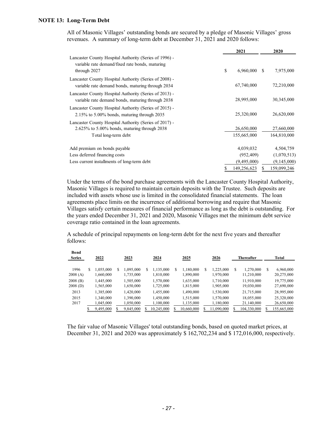#### **NOTE 13: Long-Term Debt**

All of Masonic Villages' outstanding bonds are secured by a pledge of Masonic Villages' gross revenues. A summary of long-term debt at December 31, 2021 and 2020 follows:

|                                                                                                                                | 2021                                   | 2020                             |
|--------------------------------------------------------------------------------------------------------------------------------|----------------------------------------|----------------------------------|
| Lancaster County Hospital Authority (Series of 1996) -<br>variable rate demand/fixed rate bonds, maturing<br>through 2027      | \$<br>6,960,000                        | -S<br>7,975,000                  |
| Lancaster County Hospital Authority (Series of 2008) -<br>variable rate demand bonds, maturing through 2034                    | 67,740,000                             | 72,210,000                       |
| Lancaster County Hospital Authority (Series of 2013) -<br>variable rate demand bonds, maturing through 2038                    | 28,995,000                             | 30,345,000                       |
| Lancaster County Hospital Authority (Series of 2015) -<br>$2.15\%$ to 5.00% bonds, maturing through 2035                       | 25,320,000                             | 26,620,000                       |
| Lancaster County Hospital Authority (Series of 2017) -<br>2.625% to 5.00% bonds, maturing through 2038<br>Total long-term debt | 26,650,000<br>155,665,000              | 27,660,000<br>164,810,000        |
| Add premium on bonds payable<br>Less deferred financing costs                                                                  | 4,039,032<br>(952, 409)<br>(9,495,000) | 4,504,759<br>(1,070,513)         |
| Less current installments of long-term debt                                                                                    | \$<br>149,256,623                      | (9,145,000)<br>159,099,246<br>\$ |

Under the terms of the bond purchase agreements with the Lancaster County Hospital Authority, Masonic Villages is required to maintain certain deposits with the Trustee. Such deposits are included with assets whose use is limited in the consolidated financial statements. The loan agreements place limits on the incurrence of additional borrowing and require that Masonic Villages satisfy certain measures of financial performance as long as the debt is outstanding. For the years ended December 31, 2021 and 2020, Masonic Villages met the minimum debt service coverage ratio contained in the loan agreements.

A schedule of principal repayments on long-term debt for the next five years and thereafter follows:

| Bond<br><b>Series</b> |   | 2022      |   | 2023      | 2024            |   | 2025       |   | 2026       |   | <b>Thereafter</b> |   | Total       |
|-----------------------|---|-----------|---|-----------|-----------------|---|------------|---|------------|---|-------------------|---|-------------|
| 1996                  | S | 1.055.000 | S | 1.095.000 | \$<br>1.135.000 | S | 1.180.000  | S | 1,225,000  | S | 1,270,000         | S | 6,960,000   |
| 2008(A)               |   | 1,660,000 |   | 1,735,000 | 1,810,000       |   | 1,890,000  |   | 1,970,000  |   | 11,210,000        |   | 20,275,000  |
| $2008$ (B)            |   | 1,445,000 |   | 1.505,000 | 1.570,000       |   | 1,635,000  |   | 1,710,000  |   | 11,910,000        |   | 19,775,000  |
| 2008(D)               |   | 1,565,000 |   | 1,650,000 | 1,725,000       |   | 1,815,000  |   | 1,905,000  |   | 19,030,000        |   | 27,690,000  |
| 2013                  |   | 1,385,000 |   | 1,420,000 | 1,455,000       |   | 1,490,000  |   | 1,530,000  |   | 21,715,000        |   | 28,995,000  |
| 2015                  |   | 1,340,000 |   | 1.390.000 | 1,450,000       |   | 1,515,000  |   | 1,570,000  |   | 18,055,000        |   | 25,320,000  |
| 2017                  |   | 1,045,000 |   | 1,050,000 | 1,100,000       |   | 1,135,000  |   | 1,180,000  |   | 21,140,000        |   | 26,650,000  |
|                       |   | 9,495,000 |   | 9,845,000 | 10,245,000      |   | 10,660,000 |   | 11,090,000 |   | 104,330,000       |   | 155,665,000 |

The fair value of Masonic Villages' total outstanding bonds, based on quoted market prices, at December 31, 2021 and 2020 was approximately \$ 162,702,234 and \$ 172,016,000, respectively.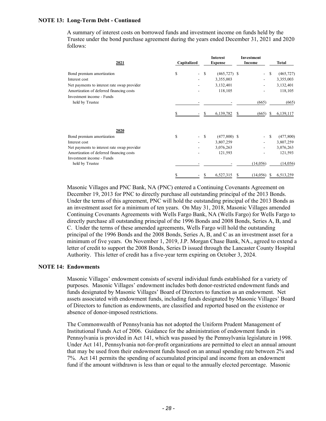### **NOTE 13: Long-Term Debt - Continued**

A summary of interest costs on borrowed funds and investment income on funds held by the Trustee under the bond purchase agreement during the years ended December 31, 2021 and 2020 follows:

| 2021                                        | Capitalized          |   | Interest<br><b>Expense</b> |    | Investment<br>Income     |               | Total      |  |
|---------------------------------------------|----------------------|---|----------------------------|----|--------------------------|---------------|------------|--|
| Bond premium amortization                   | \$<br>$\sim$         | S | $(465, 727)$ \$            |    | $\overline{\phantom{0}}$ | S             | (465, 727) |  |
| Interest cost                               |                      |   | 3,355,003                  |    |                          |               | 3,355,003  |  |
| Net payments to interest rate swap provider |                      |   | 3,132,401                  |    |                          |               | 3,132,401  |  |
| Amortization of deferred financing costs    |                      |   | 118,105                    |    |                          |               | 118,105    |  |
| Investment income - Funds                   |                      |   |                            |    |                          |               |            |  |
| held by Trustee                             |                      |   |                            |    | (665)                    |               | (665)      |  |
|                                             |                      |   | 6,139,782                  | S  | (665)                    | S.            | 6,139,117  |  |
| 2020                                        |                      |   |                            |    |                          |               |            |  |
| Bond premium amortization                   | \$<br>$\blacksquare$ | S | $(477,800)$ \$             |    | $\overline{\phantom{0}}$ | <sup>\$</sup> | (477,800)  |  |
| Interest cost                               |                      |   | 3,807,259                  |    |                          |               | 3,807,259  |  |
| Net payments to interest rate swap provider |                      |   | 3,076,263                  |    |                          |               | 3,076,263  |  |
| Amortization of deferred financing costs    |                      |   | 121,593                    |    |                          |               | 121,593    |  |
| Investment income - Funds                   |                      |   |                            |    |                          |               |            |  |
| held by Trustee                             |                      |   |                            |    | (14,056)                 |               | (14, 056)  |  |
|                                             | \$                   | S | 6,527,315                  | \$ | (14,056)                 | S             | 6,513,259  |  |

Masonic Villages and PNC Bank, NA (PNC) entered a Continuing Covenants Agreement on December 19, 2013 for PNC to directly purchase all outstanding principal of the 2013 Bonds. Under the terms of this agreement, PNC will hold the outstanding principal of the 2013 Bonds as an investment asset for a minimum of ten years. On May 31, 2018, Masonic Villages amended Continuing Covenants Agreements with Wells Fargo Bank, NA (Wells Fargo) for Wells Fargo to directly purchase all outstanding principal of the 1996 Bonds and 2008 Bonds, Series A, B, and C. Under the terms of these amended agreements, Wells Fargo will hold the outstanding principal of the 1996 Bonds and the 2008 Bonds, Series A, B, and C as an investment asset for a minimum of five years. On November 1, 2019, J.P. Morgan Chase Bank, NA., agreed to extend a letter of credit to support the 2008 Bonds, Series D issued through the Lancaster County Hospital Authority. This letter of credit has a five-year term expiring on October 3, 2024.

# **NOTE 14: Endowments**

Masonic Villages' endowment consists of several individual funds established for a variety of purposes. Masonic Villages' endowment includes both donor-restricted endowment funds and funds designated by Masonic Villages' Board of Directors to function as an endowment. Net assets associated with endowment funds, including funds designated by Masonic Villages' Board of Directors to function as endowments, are classified and reported based on the existence or absence of donor-imposed restrictions.

The Commonwealth of Pennsylvania has not adopted the Uniform Prudent Management of Institutional Funds Act of 2006. Guidance for the administration of endowment funds in Pennsylvania is provided in Act 141, which was passed by the Pennsylvania legislature in 1998. Under Act 141, Pennsylvania not-for-profit organizations are permitted to elect an annual amount that may be used from their endowment funds based on an annual spending rate between 2% and 7%. Act 141 permits the spending of accumulated principal and income from an endowment fund if the amount withdrawn is less than or equal to the annually elected percentage. Masonic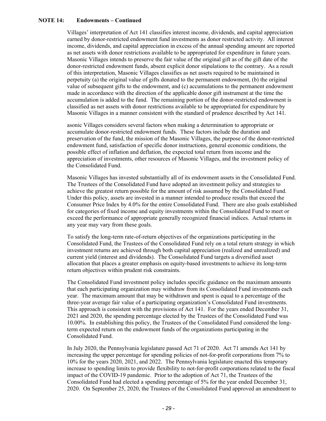## **NOTE 14: Endowments – Continued**

Villages' interpretation of Act 141 classifies interest income, dividends, and capital appreciation earned by donor-restricted endowment fund investments as donor restricted activity. All interest income, dividends, and capital appreciation in excess of the annual spending amount are reported as net assets with donor restrictions available to be appropriated for expenditure in future years. Masonic Villages intends to preserve the fair value of the original gift as of the gift date of the donor-restricted endowment funds, absent explicit donor stipulations to the contrary. As a result of this interpretation, Masonic Villages classifies as net assets required to be maintained in perpetuity (a) the original value of gifts donated to the permanent endowment, (b) the original value of subsequent gifts to the endowment, and (c) accumulations to the permanent endowment made in accordance with the direction of the applicable donor gift instrument at the time the accumulation is added to the fund. The remaining portion of the donor-restricted endowment is classified as net assets with donor restrictions available to be appropriated for expenditure by Masonic Villages in a manner consistent with the standard of prudence described by Act 141.

asonic Villages considers several factors when making a determination to appropriate or accumulate donor-restricted endowment funds. These factors include the duration and preservation of the fund, the mission of the Masonic Villages, the purpose of the donor-restricted endowment fund, satisfaction of specific donor instructions, general economic conditions, the possible effect of inflation and deflation, the expected total return from income and the appreciation of investments, other resources of Masonic Villages, and the investment policy of the Consolidated Fund.

Masonic Villages has invested substantially all of its endowment assets in the Consolidated Fund. The Trustees of the Consolidated Fund have adopted an investment policy and strategies to achieve the greatest return possible for the amount of risk assumed by the Consolidated Fund. Under this policy, assets are invested in a manner intended to produce results that exceed the Consumer Price Index by 4.0% for the entire Consolidated Fund. There are also goals established for categories of fixed income and equity investments within the Consolidated Fund to meet or exceed the performance of appropriate generally recognized financial indices. Actual returns in any year may vary from these goals.

To satisfy the long-term rate-of-return objectives of the organizations participating in the Consolidated Fund, the Trustees of the Consolidated Fund rely on a total return strategy in which investment returns are achieved through both capital appreciation (realized and unrealized) and current yield (interest and dividends). The Consolidated Fund targets a diversified asset allocation that places a greater emphasis on equity-based investments to achieve its long-term return objectives within prudent risk constraints.

The Consolidated Fund investment policy includes specific guidance on the maximum amounts that each participating organization may withdraw from its Consolidated Fund investments each year. The maximum amount that may be withdrawn and spent is equal to a percentage of the three-year average fair value of a participating organization's Consolidated Fund investments. This approach is consistent with the provisions of Act 141. For the years ended December 31, 2021 and 2020, the spending percentage elected by the Trustees of the Consolidated Fund was 10.00%. In establishing this policy, the Trustees of the Consolidated Fund considered the longterm expected return on the endowment funds of the organizations participating in the Consolidated Fund.

In July 2020, the Pennsylvania legislature passed Act 71 of 2020. Act 71 amends Act 141 by increasing the upper percentage for spending policies of not-for-profit corporations from 7% to 10% for the years 2020, 2021, and 2022. The Pennsylvania legislature enacted this temporary increase to spending limits to provide flexibility to not-for-profit corporations related to the fiscal impact of the COVID-19 pandemic. Prior to the adoption of Act 71, the Trustees of the Consolidated Fund had elected a spending percentage of 5% for the year ended December 31, 2020. On September 25, 2020, the Trustees of the Consolidated Fund approved an amendment to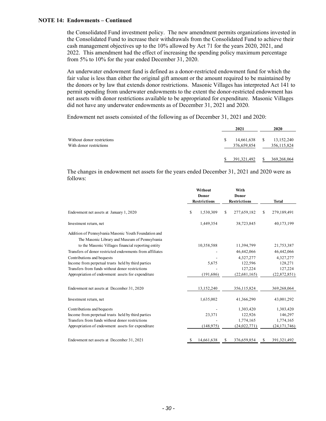### **NOTE 14: Endowments – Continued**

the Consolidated Fund investment policy. The new amendment permits organizations invested in the Consolidated Fund to increase their withdrawals from the Consolidated Fund to achieve their cash management objectives up to the 10% allowed by Act 71 for the years 2020, 2021, and 2022. This amendment had the effect of increasing the spending policy maximum percentage from 5% to 10% for the year ended December 31, 2020.

An underwater endowment fund is defined as a donor-restricted endowment fund for which the fair value is less than either the original gift amount or the amount required to be maintained by the donors or by law that extends donor restrictions. Masonic Villages has interpreted Act 141 to permit spending from underwater endowments to the extent the donor-restricted endowment has net assets with donor restrictions available to be appropriated for expenditure. Masonic Villages did not have any underwater endowments as of December 31, 2021 and 2020.

Endowment net assets consisted of the following as of December 31, 2021 and 2020:

|                                                       |   | 2021                      |    | 2020                          |
|-------------------------------------------------------|---|---------------------------|----|-------------------------------|
| Without donor restrictions<br>With donor restrictions | S | 14,661,638<br>376,659,854 | -S | 13, 152, 240<br>356, 115, 824 |
|                                                       |   | 391, 321, 492             | S  | 369,268,064                   |

The changes in endowment net assets for the years ended December 31, 2021 and 2020 were as follows:

|                                                          | Without<br><b>Donor</b><br><b>Restrictions</b> |            |    | With<br>Donor<br><b>Restrictions</b> | <b>Total</b>        |
|----------------------------------------------------------|------------------------------------------------|------------|----|--------------------------------------|---------------------|
|                                                          |                                                |            |    |                                      |                     |
| Endowment net assets at January 1, 2020                  | \$                                             | 1,530,309  | \$ | 277,659,182                          | \$<br>279,189,491   |
| Investment return, net                                   |                                                | 1,449,354  |    | 38,723,845                           | 40,173,199          |
| Addition of Pennsylvania Masonic Youth Foundation and    |                                                |            |    |                                      |                     |
| The Masonic Library and Museum of Pennsylvania           |                                                |            |    |                                      |                     |
| to the Masonic Villages financial reporting entity       |                                                | 10,358,588 |    | 11,394,799                           | 21,753,387          |
| Transfers of donor restricted endowments from affiliates |                                                |            |    | 46,442,066                           | 46,442,066          |
| Contributions and bequests                               |                                                |            |    | 4,327,277                            | 4,327,277           |
| Income from perpetual trusts held by third parties       |                                                | 5,675      |    | 122,596                              | 128,271             |
| Transfers from funds without donor restrictions          |                                                |            |    | 127,224                              | 127,224             |
| Appropriation of endowment assets for expenditure        |                                                | (191, 686) |    | (22, 681, 165)                       | (22,872,851)        |
| Endowment net assets at December 31, 2020                |                                                | 13,152,240 |    | 356,115,824                          | 369,268,064         |
| Investment return, net                                   |                                                | 1,635,002  |    | 41,366,290                           | 43,001,292          |
| Contributions and bequests                               |                                                |            |    | 1,303,420                            | 1,303,420           |
| Income from perpetual trusts held by third parties       |                                                | 23,371     |    | 122,926                              | 146,297             |
| Transfers from funds without donor restrictions          |                                                |            |    | 1,774,165                            | 1,774,165           |
| Appropriation of endowment assets for expenditure        |                                                | (148, 975) |    | (24, 022, 771)                       | (24, 171, 746)      |
| Endowment net assets at December 31, 2021                | S                                              | 14,661,638 | S  | 376,659,854                          | \$<br>391, 321, 492 |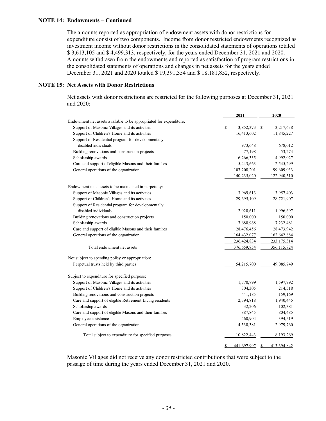### **NOTE 14: Endowments – Continued**

The amounts reported as appropriation of endowment assets with donor restrictions for expenditure consist of two components. Income from donor restricted endowments recognized as investment income without donor restrictions in the consolidated statements of operations totaled \$ 3,613,105 and \$ 4,499,313, respectively, for the years ended December 31, 2021 and 2020. Amounts withdrawn from the endowments and reported as satisfaction of program restrictions in the consolidated statements of operations and changes in net assets for the years ended December 31, 2021 and 2020 totaled \$ 19,391,354 and \$ 18,181,852, respectively.

## **NOTE 15: Net Assets with Donor Restrictions**

Net assets with donor restrictions are restricted for the following purposes at December 31, 2021 and 2020:

|                                                                    | 2021             | 2020                    |
|--------------------------------------------------------------------|------------------|-------------------------|
| Endowment net assets available to be appropriated for expenditure: |                  |                         |
| Support of Masonic Villages and its activities                     | \$<br>3,852,373  | \$<br>3,217,638         |
| Support of Children's Home and its activities                      | 16,413,602       | 11,845,227              |
| Support of Residential program for developmentally                 |                  |                         |
| disabled individuals                                               | 973,648          | 678,012                 |
| Building renovations and construction projects                     | 77,198           | 53,274                  |
| Scholarship awards                                                 | 6,266,335        | 4,992,027               |
| Care and support of eligible Masons and their families             | 5,443,663        | 2,545,299               |
| General operations of the organization                             | 107,208,201      | 99,609,033              |
|                                                                    | 140,235,020      | 122,940,510             |
| Endowment nets assets to be maintained in perpetuity:              |                  |                         |
| Support of Masonic Villages and its activities                     | 3,969,613        | 3,957,403               |
| Support of Children's Home and its activities                      | 29,695,109       | 28,721,907              |
| Support of Residential program for developmentally                 |                  |                         |
| disabled individuals                                               | 2,020,611        | 1,996,697               |
| Building renovations and construction projects                     | 150,000          | 150,000                 |
| Scholarship awards                                                 | 7,680,968        | 7,232,481               |
| Care and support of eligible Masons and their families             | 28,476,456       | 28,473,942              |
| General operations of the organization                             | 164,432,077      | 162,642,884             |
|                                                                    | 236,424,834      | 233, 175, 314           |
| Total endowment net assets                                         | 376,659,854      | 356,115,824             |
| Not subject to spending policy or appropriation:                   |                  |                         |
| Perpetual trusts held by third parties                             | 54,215,700       | 49,085,749              |
| Subject to expenditure for specified purpose:                      |                  |                         |
| Support of Masonic Villages and its activities                     | 1,770,799        | 1,597,992               |
| Support of Children's Home and its activities                      | 304,305          | 214,518                 |
| Building renovations and construction projects                     | 441,185          | 159,169                 |
| Care and support of eligible Retirement Living residents           | 2,394,818        | 1,940,445               |
| Scholarship awards                                                 | 32,206           | 102,381                 |
| Care and support of eligible Masons and their families             | 887,845          | 804,485                 |
| Employee assistance                                                | 460,904          | 394,519                 |
| General operations of the organization                             | 4,530,381        | 2,979,760               |
| Total subject to expenditure for specified purposes                | 10,822,443       | 8,193,269               |
|                                                                    | 441.697.997<br>S | S<br><u>413.394.842</u> |

Masonic Villages did not receive any donor restricted contributions that were subject to the passage of time during the years ended December 31, 2021 and 2020.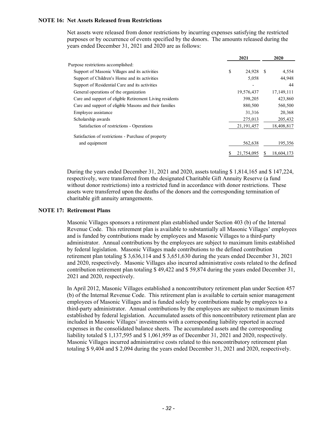### **NOTE 16: Net Assets Released from Restrictions**

Net assets were released from donor restrictions by incurring expenses satisfying the restricted purposes or by occurrence of events specified by the donors. The amounts released during the years ended December 31, 2021 and 2020 are as follows:

|                                                          | 2021         |    | 2020       |
|----------------------------------------------------------|--------------|----|------------|
| Purpose restrictions accomplished:                       |              |    |            |
| Support of Masonic Villages and its activities           | \$<br>24,928 | -8 | 4,554      |
| Support of Children's Home and its activities            | 5,058        |    | 44,948     |
| Support of Residential Care and its activities           |              |    | 44         |
| General operations of the organization                   | 19,576,437   |    | 17,149,111 |
| Care and support of eligible Retirement Living residents | 398,205      |    | 423,860    |
| Care and support of eligible Masons and their families   | 880,500      |    | 560,500    |
| Employee assistance                                      | 31,316       |    | 20,368     |
| Scholarship awards                                       | 275,013      |    | 205,432    |
| Satisfaction of restrictions - Operations                | 21, 191, 457 |    | 18,408,817 |
| Satisfaction of restrictions - Purchase of property      |              |    |            |
| and equipment                                            | 562,638      |    | 195,356    |
|                                                          | 21,754,095   |    | 18,604,173 |

During the years ended December 31, 2021 and 2020, assets totaling \$ 1,814,165 and \$ 147,224, respectively, were transferred from the designated Charitable Gift Annuity Reserve (a fund without donor restrictions) into a restricted fund in accordance with donor restrictions. These assets were transferred upon the deaths of the donors and the corresponding termination of charitable gift annuity arrangements.

### **NOTE 17: Retirement Plans**

Masonic Villages sponsors a retirement plan established under Section 403 (b) of the Internal Revenue Code. This retirement plan is available to substantially all Masonic Villages' employees and is funded by contributions made by employees and Masonic Villages to a third-party administrator. Annual contributions by the employees are subject to maximum limits established by federal legislation. Masonic Villages made contributions to the defined contribution retirement plan totaling \$ 3,636,114 and \$ 3,651,630 during the years ended December 31, 2021 and 2020, respectively. Masonic Villages also incurred administrative costs related to the defined contribution retirement plan totaling \$ 49,422 and \$ 59,874 during the years ended December 31, 2021 and 2020, respectively.

In April 2012, Masonic Villages established a noncontributory retirement plan under Section 457 (b) of the Internal Revenue Code. This retirement plan is available to certain senior management employees of Masonic Villages and is funded solely by contributions made by employees to a third-party administrator. Annual contributions by the employees are subject to maximum limits established by federal legislation. Accumulated assets of this noncontributory retirement plan are included in Masonic Villages' investments with a corresponding liability reported in accrued expenses in the consolidated balance sheets. The accumulated assets and the corresponding liability totaled \$ 1,137,595 and \$ 1,061,959 as of December 31, 2021 and 2020, respectively. Masonic Villages incurred administrative costs related to this noncontributory retirement plan totaling \$ 9,404 and \$ 2,094 during the years ended December 31, 2021 and 2020, respectively.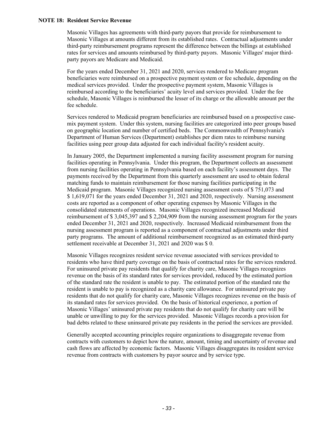### **NOTE 18: Resident Service Revenue**

Masonic Villages has agreements with third-party payors that provide for reimbursement to Masonic Villages at amounts different from its established rates. Contractual adjustments under third-party reimbursement programs represent the difference between the billings at established rates for services and amounts reimbursed by third-party payors. Masonic Villages' major thirdparty payors are Medicare and Medicaid.

For the years ended December 31, 2021 and 2020, services rendered to Medicare program beneficiaries were reimbursed on a prospective payment system or fee schedule, depending on the medical services provided. Under the prospective payment system, Masonic Villages is reimbursed according to the beneficiaries' acuity level and services provided. Under the fee schedule, Masonic Villages is reimbursed the lesser of its charge or the allowable amount per the fee schedule.

Services rendered to Medicaid program beneficiaries are reimbursed based on a prospective casemix payment system. Under this system, nursing facilities are categorized into peer groups based on geographic location and number of certified beds. The Commonwealth of Pennsylvania's Department of Human Services (Department) establishes per diem rates to reimburse nursing facilities using peer group data adjusted for each individual facility's resident acuity.

In January 2005, the Department implemented a nursing facility assessment program for nursing facilities operating in Pennsylvania. Under this program, the Department collects an assessment from nursing facilities operating in Pennsylvania based on each facility's assessment days. The payments received by the Department from this quarterly assessment are used to obtain federal matching funds to maintain reimbursement for those nursing facilities participating in the Medicaid program. Masonic Villages recognized nursing assessment costs of \$ 751,073 and \$ 1,619,071 for the years ended December 31, 2021 and 2020, respectively. Nursing assessment costs are reported as a component of other operating expenses by Masonic Villages in the consolidated statements of operations. Masonic Villages recognized increased Medicaid reimbursement of \$ 3,045,397 and \$ 2,204,909 from the nursing assessment program for the years ended December 31, 2021 and 2020, respectively. Increased Medicaid reimbursement from the nursing assessment program is reported as a component of contractual adjustments under third party programs. The amount of additional reimbursement recognized as an estimated third-party settlement receivable at December 31, 2021 and 2020 was \$ 0.

Masonic Villages recognizes resident service revenue associated with services provided to residents who have third party coverage on the basis of contractual rates for the services rendered. For uninsured private pay residents that qualify for charity care, Masonic Villages recognizes revenue on the basis of its standard rates for services provided, reduced by the estimated portion of the standard rate the resident is unable to pay. The estimated portion of the standard rate the resident is unable to pay is recognized as a charity care allowance. For uninsured private pay residents that do not qualify for charity care, Masonic Villages recognizes revenue on the basis of its standard rates for services provided. On the basis of historical experience, a portion of Masonic Villages' uninsured private pay residents that do not qualify for charity care will be unable or unwilling to pay for the services provided. Masonic Villages records a provision for bad debts related to these uninsured private pay residents in the period the services are provided.

Generally accepted accounting principles require organizations to disaggregate revenue from contracts with customers to depict how the nature, amount, timing and uncertainty of revenue and cash flows are affected by economic factors. Masonic Villages disaggregates its resident service revenue from contracts with customers by payor source and by service type.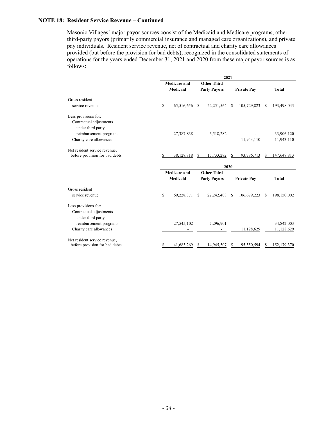### **NOTE 18: Resident Service Revenue – Continued**

Masonic Villages' major payor sources consist of the Medicaid and Medicare programs, other third-party payors (primarily commercial insurance and managed care organizations), and private pay individuals. Resident service revenue, net of contractual and charity care allowances provided (but before the provision for bad debts), recognized in the consolidated statements of operations for the years ended December 31, 2021 and 2020 from these major payor sources is as follows:

|                                              | 2021                |                     |                    |                     |               |                    |   |               |
|----------------------------------------------|---------------------|---------------------|--------------------|---------------------|---------------|--------------------|---|---------------|
|                                              | <b>Medicare and</b> |                     | <b>Other Third</b> |                     |               |                    |   |               |
|                                              |                     | Medicaid            |                    | <b>Party Payors</b> |               | <b>Private Pav</b> |   | <b>Total</b>  |
| Gross resident                               |                     |                     |                    |                     |               |                    |   |               |
| service revenue                              | \$                  | 65,516,656          | -S                 | 22, 251, 564        | <sup>\$</sup> | 105,729,823        | S | 193,498,043   |
| Less provisions for:                         |                     |                     |                    |                     |               |                    |   |               |
| Contractual adjustments<br>under third party |                     |                     |                    |                     |               |                    |   |               |
| reimbursement programs                       |                     | 27,387,838          |                    | 6,518,282           |               |                    |   | 33,906,120    |
| Charity care allowances                      |                     |                     |                    |                     |               | 11,943,110         |   | 11,943,110    |
| Net resident service revenue,                |                     |                     |                    |                     |               |                    |   |               |
| before provision for bad debts               | S.                  | 38,128,818          | S                  | 15,733,282          | S             | 93,786,713         | S | 147,648,813   |
|                                              |                     | 2020                |                    |                     |               |                    |   |               |
|                                              |                     | <b>Medicare and</b> |                    | <b>Other Third</b>  |               |                    |   |               |
|                                              |                     | Medicaid            |                    | <b>Party Payors</b> |               | <b>Private Pay</b> |   | <b>Total</b>  |
| Gross resident                               |                     |                     |                    |                     |               |                    |   |               |
| service revenue                              | \$                  | 69,228,371          | S.                 | 22, 242, 408        | -S            | 106,679,223        | S | 198,150,002   |
| Less provisions for:                         |                     |                     |                    |                     |               |                    |   |               |
| Contractual adjustments                      |                     |                     |                    |                     |               |                    |   |               |
| under third party                            |                     |                     |                    |                     |               |                    |   |               |
| reimbursement programs                       |                     | 27,545,102          |                    | 7,296,901           |               |                    |   | 34,842,003    |
| Charity care allowances                      |                     |                     |                    |                     |               | 11,128,629         |   | 11,128,629    |
| Net resident service revenue,                |                     |                     |                    |                     |               |                    |   |               |
| before provision for bad debts               | \$                  | 41,683,269          | S                  | 14,945,507          | S             | 95,550,594         | S | 152, 179, 370 |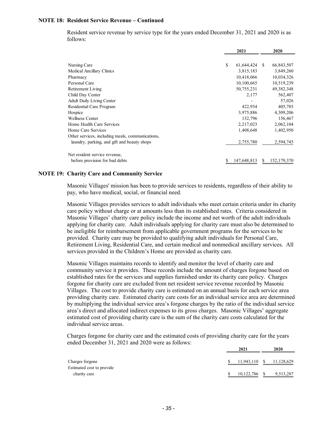### **NOTE 18: Resident Service Revenue – Continued**

Resident service revenue by service type for the years ended December 31, 2021 and 2020 is as follows:

|                                                  | 2021             |    | 2020          |
|--------------------------------------------------|------------------|----|---------------|
|                                                  |                  |    |               |
| Nursing Care                                     | \$<br>61,644,424 | S. | 66,843,507    |
| Medical Ancillary Clinics                        | 3,815,183        |    | 3,849,260     |
| Pharmacy                                         | 10,418,066       |    | 10,034,326    |
| Personal Care                                    | 10,100,665       |    | 10,519,239    |
| Retirement Living                                | 50,755,231       |    | 49, 382, 348  |
| Child Day Center                                 | 2,177            |    | 562,407       |
| <b>Adult Daily Living Center</b>                 |                  |    | 57,026        |
| Residential Care Program                         | 422,934          |    | 405,785       |
| Hospice                                          | 3,975,886        |    | 4,309,206     |
| <b>Wellness Center</b>                           | 132,796          |    | 156,467       |
| Home Health Care Services                        | 2,217,023        |    | 2,062,104     |
| Home Care Services                               | 1,408,648        |    | 1,402,950     |
| Other services, including meals, communications, |                  |    |               |
| laundry, parking, and gift and beauty shops      | 2,755,780        |    | 2,594,745     |
| Net resident service revenue,                    |                  |    |               |
| before provision for bad debts                   | 147,648,813      | S  | 152, 179, 370 |

#### **NOTE 19: Charity Care and Community Service**

Masonic Villages' mission has been to provide services to residents, regardless of their ability to pay, who have medical, social, or financial need.

Masonic Villages provides services to adult individuals who meet certain criteria under its charity care policy without charge or at amounts less than its established rates. Criteria considered in Masonic Villages' charity care policy include the income and net worth of the adult individuals applying for charity care. Adult individuals applying for charity care must also be determined to be ineligible for reimbursement from applicable government programs for the services to be provided. Charity care may be provided to qualifying adult individuals for Personal Care, Retirement Living, Residential Care, and certain medical and nonmedical ancillary services. All services provided in the Children's Home are provided as charity care.

Masonic Villages maintains records to identify and monitor the level of charity care and community service it provides. These records include the amount of charges forgone based on established rates for the services and supplies furnished under its charity care policy. Charges forgone for charity care are excluded from net resident service revenue recorded by Masonic Villages. The cost to provide charity care is estimated on an annual basis for each service area providing charity care. Estimated charity care costs for an individual service area are determined by multiplying the individual service area's forgone charges by the ratio of the individual service area's direct and allocated indirect expenses to its gross charges. Masonic Villages' aggregate estimated cost of providing charity care is the sum of the charity care costs calculated for the individual service areas.

Charges forgone for charity care and the estimated costs of providing charity care for the years ended December 31, 2021 and 2020 were as follows:

|                           | 2021       |     | 2020       |  |
|---------------------------|------------|-----|------------|--|
| Charges forgone           | 11,943,110 | - S | 11,128,629 |  |
| Estimated cost to provide |            |     |            |  |
| charity care              | 10,122,786 |     | 9,513,287  |  |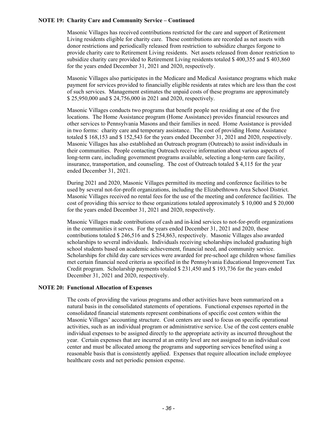### **NOTE 19: Charity Care and Community Service – Continued**

Masonic Villages has received contributions restricted for the care and support of Retirement Living residents eligible for charity care. These contributions are recorded as net assets with donor restrictions and periodically released from restriction to subsidize charges forgone to provide charity care to Retirement Living residents. Net assets released from donor restriction to subsidize charity care provided to Retirement Living residents totaled \$ 400,355 and \$ 403,860 for the years ended December 31, 2021 and 2020, respectively.

Masonic Villages also participates in the Medicare and Medical Assistance programs which make payment for services provided to financially eligible residents at rates which are less than the cost of such services. Management estimates the unpaid costs of these programs are approximately \$ 25,950,000 and \$ 24,756,000 in 2021 and 2020, respectively.

Masonic Villages conducts two programs that benefit people not residing at one of the five locations. The Home Assistance program (Home Assistance) provides financial resources and other services to Pennsylvania Masons and their families in need. Home Assistance is provided in two forms: charity care and temporary assistance. The cost of providing Home Assistance totaled \$ 168,153 and \$ 152,543 for the years ended December 31, 2021 and 2020, respectively. Masonic Villages has also established an Outreach program (Outreach) to assist individuals in their communities. People contacting Outreach receive information about various aspects of long-term care, including government programs available, selecting a long-term care facility, insurance, transportation, and counseling. The cost of Outreach totaled \$ 4,115 for the year ended December 31, 2021.

During 2021 and 2020, Masonic Villages permitted its meeting and conference facilities to be used by several not-for-profit organizations, including the Elizabethtown Area School District. Masonic Villages received no rental fees for the use of the meeting and conference facilities. The cost of providing this service to these organizations totaled approximately \$ 10,000 and \$ 20,000 for the years ended December 31, 2021 and 2020, respectively.

Masonic Villages made contributions of cash and in-kind services to not-for-profit organizations in the communities it serves. For the years ended December 31, 2021 and 2020, these contributions totaled \$ 246,516 and \$ 254,863, respectively. Masonic Villages also awarded scholarships to several individuals. Individuals receiving scholarships included graduating high school students based on academic achievement, financial need, and community service. Scholarships for child day care services were awarded for pre-school age children whose families met certain financial need criteria as specified in the Pennsylvania Educational Improvement Tax Credit program. Scholarship payments totaled \$ 231,450 and \$ 193,736 for the years ended December 31, 2021 and 2020, respectively.

### **NOTE 20: Functional Allocation of Expenses**

The costs of providing the various programs and other activities have been summarized on a natural basis in the consolidated statements of operations. Functional expenses reported in the consolidated financial statements represent combinations of specific cost centers within the Masonic Villages' accounting structure. Cost centers are used to focus on specific operational activities, such as an individual program or administrative service. Use of the cost centers enable individual expenses to be assigned directly to the appropriate activity as incurred throughout the year. Certain expenses that are incurred at an entity level are not assigned to an individual cost center and must be allocated among the programs and supporting services benefited using a reasonable basis that is consistently applied. Expenses that require allocation include employee healthcare costs and net periodic pension expense.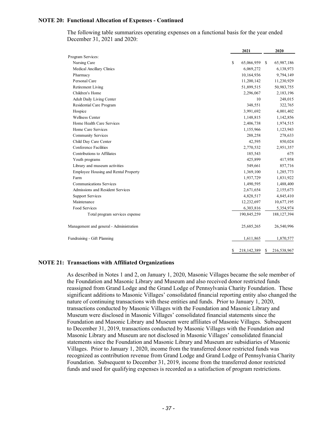### **NOTE 20: Functional Allocation of Expenses - Continued**

The following table summarizes operating expenses on a functional basis for the year ended December 31, 2021 and 2020:

|                                         | 2021              | 2020              |
|-----------------------------------------|-------------------|-------------------|
| Program Services:                       |                   |                   |
| Nursing Care                            | \$<br>65,066,959  | 65,987,186<br>-S  |
| Medical Ancillary Clinics               | 6,069,272         | 6,138,973         |
| Pharmacy                                | 10,164,936        | 9,794,149         |
| Personal Care                           | 11,200,142        | 11,230,929        |
| Retirement Living                       | 51,899,515        | 50,983,755        |
| Children's Home                         | 2,296,067         | 2,183,196         |
| <b>Adult Daily Living Center</b>        | 10                | 248,015           |
| Residential Care Program                | 348,551           | 322,765           |
| Hospice                                 | 3,991,692         | 4,001,402         |
| <b>Wellness Center</b>                  | 1,148,815         | 1,142,856         |
| Home Health Care Services               | 2,406,738         | 1,974,515         |
| Home Care Services                      | 1,155,966         | 1,123,943         |
| <b>Community Services</b>               | 288,258           | 278,633           |
| Child Day Care Center                   | 42,595            | 850,024           |
| Conference Facilities                   | 2,770,532         | 2,951,357         |
| Contributions to Affiliates             | 185,543           | 675               |
| Youth programs                          | 425,899           | 417,958           |
| Library and museum activities           | 549,661           | 857,716           |
| Employee Housing and Rental Property    | 1,369,100         | 1,285,773         |
| Farm                                    | 1,937,729         | 1,831,922         |
| <b>Communications Services</b>          | 1,490,595         | 1,488,400         |
| Admissions and Resident Services        | 2,671,654         | 2,155,673         |
| <b>Support Services</b>                 | 4,828,517         | 4,845,410         |
| Maintenance                             | 12,232,697        | 10,677,195        |
| Food Services                           | 6,303,816         | 5,354,974         |
| Total program services expense          | 190,845,259       | 188, 127, 394     |
| Management and general - Administration | 25,685,265        | 26,540,996        |
| Fundraising - Gift Planning             | 1,611,865         | 1,870,577         |
|                                         | \$<br>218,142,389 | \$<br>216,538,967 |

#### **NOTE 21: Transactions with Affiliated Organizations**

As described in Notes 1 and 2, on January 1, 2020, Masonic Villages became the sole member of the Foundation and Masonic Library and Museum and also received donor restricted funds reassigned from Grand Lodge and the Grand Lodge of Pennsylvania Charity Foundation. These significant additions to Masonic Villages' consolidated financial reporting entity also changed the nature of continuing transactions with these entities and funds. Prior to January 1, 2020, transactions conducted by Masonic Villages with the Foundation and Masonic Library and Museum were disclosed in Masonic Villages' consolidated financial statements since the Foundation and Masonic Library and Museum were affiliates of Masonic Villages. Subsequent to December 31, 2019, transactions conducted by Masonic Villages with the Foundation and Masonic Library and Museum are not disclosed in Masonic Villages' consolidated financial statements since the Foundation and Masonic Library and Museum are subsidiaries of Masonic Villages. Prior to January 1, 2020, income from the transferred donor restricted funds was recognized as contribution revenue from Grand Lodge and Grand Lodge of Pennsylvania Charity Foundation. Subsequent to December 31, 2019, income from the transferred donor restricted funds and used for qualifying expenses is recorded as a satisfaction of program restrictions.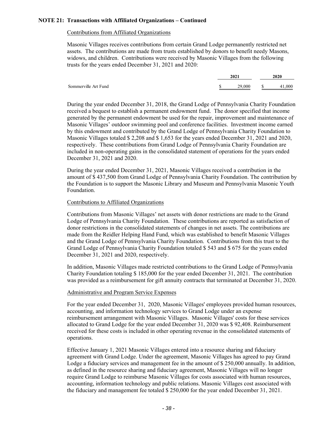### **NOTE 21: Transactions with Affiliated Organizations – Continued**

## Contributions from Affiliated Organizations

Masonic Villages receives contributions from certain Grand Lodge permanently restricted net assets. The contributions are made from trusts established by donors to benefit needy Masons, widows, and children. Contributions were received by Masonic Villages from the following trusts for the years ended December 31, 2021 and 2020:

|                      | 2021 |        |   | 2020 |  |  |
|----------------------|------|--------|---|------|--|--|
| Sommerville Art Fund | ٠.   | 29.000 | S | .000 |  |  |

During the year ended December 31, 2018, the Grand Lodge of Pennsylvania Charity Foundation received a bequest to establish a permanent endowment fund. The donor specified that income generated by the permanent endowment be used for the repair, improvement and maintenance of Masonic Villages' outdoor swimming pool and conference facilities. Investment income earned by this endowment and contributed by the Grand Lodge of Pennsylvania Charity Foundation to Masonic Villages totaled \$ 2,208 and \$ 1,653 for the years ended December 31, 2021 and 2020, respectively. These contributions from Grand Lodge of Pennsylvania Charity Foundation are included in non-operating gains in the consolidated statement of operations for the years ended December 31, 2021 and 2020.

During the year ended December 31, 2021, Masonic Villages received a contribution in the amount of \$ 437,500 from Grand Lodge of Pennsylvania Charity Foundation. The contribution by the Foundation is to support the Masonic Library and Museum and Pennsylvania Masonic Youth Foundation.

### Contributions to Affiliated Organizations

Contributions from Masonic Villages' net assets with donor restrictions are made to the Grand Lodge of Pennsylvania Charity Foundation. These contributions are reported as satisfaction of donor restrictions in the consolidated statements of changes in net assets. The contributions are made from the Reidler Helping Hand Fund, which was established to benefit Masonic Villages and the Grand Lodge of Pennsylvania Charity Foundation. Contributions from this trust to the Grand Lodge of Pennsylvania Charity Foundation totaled \$ 543 and \$ 675 for the years ended December 31, 2021 and 2020, respectively.

In addition, Masonic Villages made restricted contributions to the Grand Lodge of Pennsylvania Charity Foundation totaling \$ 185,000 for the year ended December 31, 2021. The contribution was provided as a reimbursement for gift annuity contracts that terminated at December 31, 2020.

#### Administrative and Program Service Expenses

For the year ended December 31, 2020, Masonic Villages' employees provided human resources, accounting, and information technology services to Grand Lodge under an expense reimbursement arrangement with Masonic Villages. Masonic Villages' costs for these services allocated to Grand Lodge for the year ended December 31, 2020 was \$ 92,408. Reimbursement received for these costs is included in other operating revenue in the consolidated statements of operations.

Effective January 1, 2021 Masonic Villages entered into a resource sharing and fiduciary agreement with Grand Lodge. Under the agreement, Masonic Villages has agreed to pay Grand Lodge a fiduciary services and management fee in the amount of \$ 250,000 annually. In addition, as defined in the resource sharing and fiduciary agreement, Masonic Villages will no longer require Grand Lodge to reimburse Masonic Villages for costs associated with human resources, accounting, information technology and public relations. Masonic Villages cost associated with the fiduciary and management fee totaled \$ 250,000 for the year ended December 31, 2021.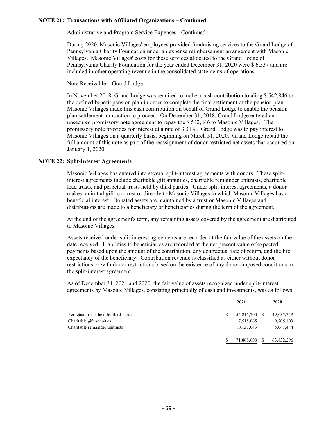### **NOTE 21: Transactions with Affiliated Organizations – Continued**

### Administrative and Program Service Expenses - Continued

During 2020, Masonic Villages' employees provided fundraising services to the Grand Lodge of Pennsylvania Charity Foundation under an expense reimbursement arrangement with Masonic Villages. Masonic Villages' costs for these services allocated to the Grand Lodge of Pennsylvania Charity Foundation for the year ended December 31, 2020 were \$ 6,537 and are included in other operating revenue in the consolidated statements of operations.

### Note Receivable – Grand Lodge

In November 2018, Grand Lodge was required to make a cash contribution totaling \$ 542,846 to the defined benefit pension plan in order to complete the final settlement of the pension plan. Masonic Villages made this cash contribution on behalf of Grand Lodge to enable the pension plan settlement transaction to proceed. On December 31, 2018, Grand Lodge entered an unsecured promissory note agreement to repay the \$ 542,846 to Masonic Villages. The promissory note provides for interest at a rate of 3.31%. Grand Lodge was to pay interest to Masonic Villages on a quarterly basis, beginning on March 31, 2020. Grand Lodge repaid the full amount of this note as part of the reassignment of donor restricted net assets that occurred on January 1, 2020.

### **NOTE 22: Split-Interest Agreements**

Masonic Villages has entered into several split-interest agreements with donors. These splitinterest agreements include charitable gift annuities, charitable remainder unitrusts, charitable lead trusts, and perpetual trusts held by third parties. Under split-interest agreements, a donor makes an initial gift to a trust or directly to Masonic Villages in which Masonic Villages has a beneficial interest. Donated assets are maintained by a trust or Masonic Villages and distributions are made to a beneficiary or beneficiaries during the term of the agreement.

At the end of the agreement's term, any remaining assets covered by the agreement are distributed to Masonic Villages.

Assets received under split-interest agreements are recorded at the fair value of the assets on the date received. Liabilities to beneficiaries are recorded at the net present value of expected payments based upon the amount of the contribution, any contractual rate of return, and the life expectancy of the beneficiary. Contribution revenue is classified as either without donor restrictions or with donor restrictions based on the existence of any donor-imposed conditions in the split-interest agreement.

As of December 31, 2021 and 2020, the fair value of assets recognized under split-interest agreements by Masonic Villages, consisting principally of cash and investments, was as follows:

|                                        |   | 2021         |  |            |  |
|----------------------------------------|---|--------------|--|------------|--|
| Perpetual trusts held by third parties | S | 54, 215, 700 |  | 49,085,749 |  |
| Charitable gift annuities              |   | 7,515,865    |  | 9,705,103  |  |
| Charitable remainder unitrusts         |   | 10,137,043   |  | 5,041,444  |  |
|                                        |   | 71,868,608   |  | 63,832,296 |  |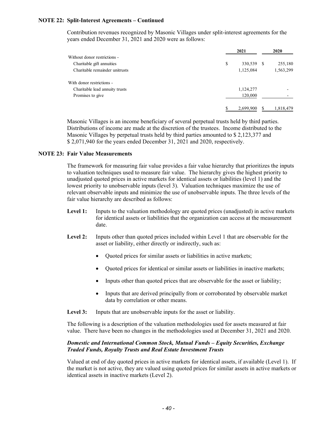## **NOTE 22: Split-Interest Agreements – Continued**

Contribution revenues recognized by Masonic Villages under split-interest agreements for the years ended December 31, 2021 and 2020 were as follows:

|                                | 2021          | 2020         |  |  |
|--------------------------------|---------------|--------------|--|--|
| Without donor restrictions -   |               |              |  |  |
| Charitable gift annuities      | \$<br>330,539 | 255,180<br>S |  |  |
| Charitable remainder unitrusts | 1,125,084     | 1,563,299    |  |  |
| With donor restrictions -      |               |              |  |  |
| Charitable lead annuity trusts | 1,124,277     |              |  |  |
| Promises to give               | 120,000       | -            |  |  |
|                                | 2,699,900     | 1,818,479    |  |  |

Masonic Villages is an income beneficiary of several perpetual trusts held by third parties. Distributions of income are made at the discretion of the trustees. Income distributed to the Masonic Villages by perpetual trusts held by third parties amounted to \$ 2,123,377 and \$ 2,071,940 for the years ended December 31, 2021 and 2020, respectively.

### **NOTE 23: Fair Value Measurements**

The framework for measuring fair value provides a fair value hierarchy that prioritizes the inputs to valuation techniques used to measure fair value. The hierarchy gives the highest priority to unadjusted quoted prices in active markets for identical assets or liabilities (level 1) and the lowest priority to unobservable inputs (level 3). Valuation techniques maximize the use of relevant observable inputs and minimize the use of unobservable inputs. The three levels of the fair value hierarchy are described as follows:

- Level 1: Inputs to the valuation methodology are quoted prices (unadjusted) in active markets for identical assets or liabilities that the organization can access at the measurement date.
- Level 2: Inputs other than quoted prices included within Level 1 that are observable for the asset or liability, either directly or indirectly, such as:
	- Quoted prices for similar assets or liabilities in active markets;
	- Quoted prices for identical or similar assets or liabilities in inactive markets;
	- Inputs other than quoted prices that are observable for the asset or liability;
	- Inputs that are derived principally from or corroborated by observable market data by correlation or other means.

Level 3: Inputs that are unobservable inputs for the asset or liability.

The following is a description of the valuation methodologies used for assets measured at fair value. There have been no changes in the methodologies used at December 31, 2021 and 2020.

### *Domestic and International Common Stock, Mutual Funds – Equity Securities, Exchange Traded Funds, Royalty Trusts and Real Estate Investment Trusts*

Valued at end of day quoted prices in active markets for identical assets, if available (Level 1). If the market is not active, they are valued using quoted prices for similar assets in active markets or identical assets in inactive markets (Level 2).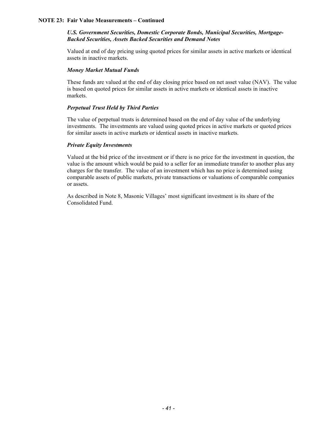### *U.S. Government Securities, Domestic Corporate Bonds, Municipal Securities, Mortgage-Backed Securities, Assets Backed Securities and Demand Notes*

Valued at end of day pricing using quoted prices for similar assets in active markets or identical assets in inactive markets.

#### *Money Market Mutual Funds*

These funds are valued at the end of day closing price based on net asset value (NAV). The value is based on quoted prices for similar assets in active markets or identical assets in inactive markets.

### *Perpetual Trust Held by Third Parties*

The value of perpetual trusts is determined based on the end of day value of the underlying investments. The investments are valued using quoted prices in active markets or quoted prices for similar assets in active markets or identical assets in inactive markets.

## *Private Equity Investments*

Valued at the bid price of the investment or if there is no price for the investment in question, the value is the amount which would be paid to a seller for an immediate transfer to another plus any charges for the transfer. The value of an investment which has no price is determined using comparable assets of public markets, private transactions or valuations of comparable companies or assets.

As described in Note 8, Masonic Villages' most significant investment is its share of the Consolidated Fund.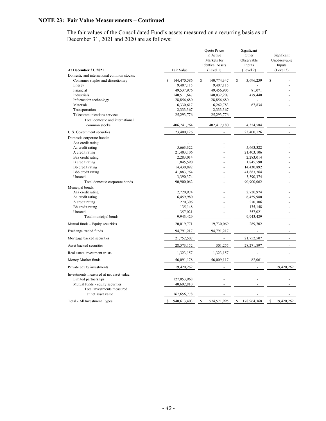The fair values of the Consolidated Fund's assets measured on a recurring basis as of December 31, 2021 and 2020 are as follows:

|                                                   |                      | Quote Prices<br>in Active<br>Markets for<br><b>Identical Assets</b> | Significant<br>Other<br>Observable<br>Inputs | Significant<br>Unobservable<br>Inputs |
|---------------------------------------------------|----------------------|---------------------------------------------------------------------|----------------------------------------------|---------------------------------------|
| <b>At December 31, 2021</b>                       | Fair Value           | (Level 1)                                                           | (Level 2)                                    | (Level 3)                             |
| Domestic and international common stocks:         |                      |                                                                     |                                              |                                       |
| Consumer staples and discretionary                | \$<br>144,470,586    | S<br>140,774,347                                                    | \$<br>3,696,239                              | S                                     |
| Energy                                            | 9,407,115            | 9,407,115                                                           |                                              |                                       |
| Financial                                         | 49,537,976           | 49,456,905                                                          | 81.071                                       |                                       |
| Industrials                                       | 140,511,647          | 140,032,207                                                         | 479,440                                      |                                       |
| Information technology                            | 28,856,680           | 28,856,680                                                          |                                              |                                       |
| Materials<br>Transportation                       | 6,330,617            | 6,262,783                                                           | 67,834                                       |                                       |
| Telecommunications services                       | 2,333,367            | 2,333,367                                                           |                                              |                                       |
|                                                   | 25,293,776           | 25,293,776                                                          |                                              |                                       |
| Total domestic and international<br>common stocks | 406,741,764          | 402,417,180                                                         | 4,324,584                                    |                                       |
| U.S. Government securities                        | 23,400,126           |                                                                     | 23,400,126                                   |                                       |
| Domestic corporate bonds:                         |                      |                                                                     |                                              |                                       |
| Aaa credit rating                                 |                      |                                                                     |                                              |                                       |
| Aa credit rating                                  | 5,663,322            |                                                                     | 5,663,322                                    |                                       |
| A credit rating                                   | 21,403,106           |                                                                     | 21,403,106                                   |                                       |
| Baa credit rating                                 | 2,283,014            |                                                                     | 2,283,014                                    |                                       |
| B credit rating                                   | 1,845,590            |                                                                     | 1,845,590                                    |                                       |
| Bb credit rating                                  | 14,430,892           |                                                                     | 14,430,892                                   |                                       |
| Bbb credit rating                                 | 41,883,764           |                                                                     | 41,883,764                                   |                                       |
| Unrated                                           | 3,390,374            | ÷,                                                                  | 3,390,374                                    | ÷.                                    |
| Total domestic corporate bonds                    | 90,900,062           |                                                                     | 90,900,062                                   | $\overline{a}$                        |
| Municipal bonds:                                  |                      |                                                                     |                                              |                                       |
| Aaa credit rating                                 | 2,720,974            |                                                                     | 2,720,974                                    |                                       |
| Aa credit rating                                  | 6,459,980            |                                                                     | 6,459,980                                    |                                       |
| A credit rating                                   | 270,306              |                                                                     | 270,306                                      |                                       |
| Bb credit rating<br>Unrated                       | 135,148              |                                                                     | 135,148                                      |                                       |
| Total municipal bonds                             | 357,021<br>9,943,429 | ä,                                                                  | 357,021<br>9,943,429                         | $\omega$                              |
| Mutual funds - Equity securities                  | 20,019,771           | 19,730,069                                                          | 289,702                                      | $\overline{a}$                        |
|                                                   |                      |                                                                     |                                              |                                       |
| Exchange traded funds                             | 94,791,217           | 94,791,217                                                          | $\overline{a}$                               | ÷.                                    |
| Mortgage backed securities                        | 21,752,507           |                                                                     | 21,752,507                                   |                                       |
| Asset backed securities                           | 28,573,152           | 301,255                                                             | 28,271,897                                   |                                       |
| Real estate investment trusts                     | 1,323,157            | 1,323,157                                                           |                                              |                                       |
| Money Market funds                                | 56,091,178           | 56,009,117                                                          | 82,061                                       |                                       |
| Private equity investments                        | 19,420,262           |                                                                     |                                              | 19,420,262                            |
| Investments measured at net asset value:          |                      |                                                                     |                                              |                                       |
| Limited partnerships                              | 127,053,968          |                                                                     |                                              |                                       |
| Mutual funds - equity securities                  | 40,602,810           |                                                                     |                                              |                                       |
| Total investments measured<br>at net asset value  | 167,656,778          |                                                                     |                                              |                                       |
| Total - All Investment Types                      | 940,613,403<br>\$    | S<br>574,571,995                                                    | S<br>178,964,368                             | $\mathbf{\hat{S}}$<br>19,420,262      |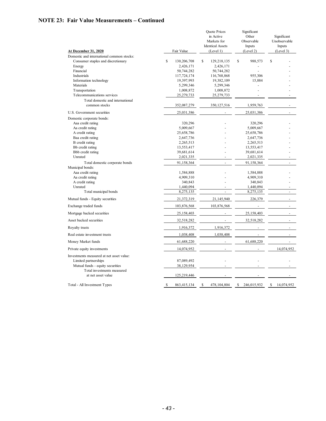|                                                                                                      |   |                          | <b>Quote Prices</b><br>in Active<br>Markets for<br><b>Identical Assets</b> |                          | Significant<br>Other<br>Observable<br>Inputs |                          | Significant<br>Unobservable<br>Inputs |                          |
|------------------------------------------------------------------------------------------------------|---|--------------------------|----------------------------------------------------------------------------|--------------------------|----------------------------------------------|--------------------------|---------------------------------------|--------------------------|
| <b>At December 31, 2020</b>                                                                          |   | Fair Value               |                                                                            | (Level 1)                |                                              | (Level 2)                |                                       | (Level 3)                |
| Domestic and international common stocks:                                                            |   |                          |                                                                            |                          |                                              |                          |                                       |                          |
| Consumer staples and discretionary                                                                   | S | 130,206,708              | \$                                                                         | 129,218,135              | S                                            | 988,573                  | \$                                    |                          |
| Energy                                                                                               |   | 2,426,171                |                                                                            | 2,426,171                |                                              |                          |                                       |                          |
| Financial                                                                                            |   | 50,744,282               |                                                                            | 50,744,282               |                                              |                          |                                       |                          |
| Industrials                                                                                          |   | 117,724,174              |                                                                            | 116,768,868              |                                              | 955,306                  |                                       |                          |
| Information technology                                                                               |   | 19,397,993               |                                                                            | 19,382,109               |                                              | 15,884                   |                                       |                          |
| Materials                                                                                            |   | 5,299,346                |                                                                            | 5,299,346                |                                              |                          |                                       |                          |
| Transportation                                                                                       |   | 1,008,872                |                                                                            | 1,008,872                |                                              |                          |                                       |                          |
| Telecommunications services                                                                          |   | 25,279,733               |                                                                            | 25,279,733               |                                              | L.                       |                                       |                          |
| Total domestic and international<br>common stocks                                                    |   | 352,087,279              |                                                                            | 350, 127, 516            |                                              | 1,959,763                |                                       |                          |
| U.S. Government securities                                                                           |   | 25,031,386               |                                                                            |                          |                                              | 25,031,386               |                                       |                          |
| Domestic corporate bonds:                                                                            |   |                          |                                                                            |                          |                                              |                          |                                       |                          |
| Aaa credit rating                                                                                    |   | 320,296                  |                                                                            |                          |                                              | 320,296                  |                                       |                          |
| Aa credit rating                                                                                     |   | 5,009,667                |                                                                            |                          |                                              | 5,009,667                |                                       |                          |
| A credit rating                                                                                      |   | 25,658,786               |                                                                            |                          |                                              | 25,658,786               |                                       |                          |
| Baa credit rating                                                                                    |   | 2,647,736                |                                                                            |                          |                                              | 2,647,736                |                                       |                          |
| B credit rating                                                                                      |   | 2,265,513                |                                                                            |                          |                                              | 2,265,513                |                                       |                          |
| Bb credit rating                                                                                     |   | 13,553,417               |                                                                            |                          |                                              | 13,553,417               |                                       |                          |
| Bbb credit rating                                                                                    |   | 39,681,614               |                                                                            |                          |                                              | 39,681,614               |                                       |                          |
| Unrated                                                                                              |   | 2,021,335                |                                                                            |                          |                                              | 2,021,335                |                                       |                          |
| Total domestic corporate bonds                                                                       |   | 91,158,364               |                                                                            |                          |                                              | 91,158,364               |                                       |                          |
| Municipal bonds:                                                                                     |   |                          |                                                                            |                          |                                              |                          |                                       |                          |
| Aaa credit rating                                                                                    |   | 1,584,888                |                                                                            |                          |                                              | 1,584,888                |                                       |                          |
| Aa credit rating                                                                                     |   | 4,909,310                |                                                                            |                          |                                              | 4,909,310                |                                       |                          |
| A credit rating                                                                                      |   | 340,843                  |                                                                            |                          |                                              | 340,843                  |                                       |                          |
| Unrated                                                                                              |   | 1,440,094                |                                                                            |                          |                                              | 1,440,094                |                                       |                          |
| Total municipal bonds                                                                                |   | 8,275,135                |                                                                            |                          |                                              | 8,275,135                |                                       |                          |
| Mutual funds - Equity securities                                                                     |   | 21,372,319               |                                                                            | 21,145,940               |                                              | 226,379                  |                                       |                          |
| Exchange traded funds                                                                                |   | 103,876,568              |                                                                            | 103,876,568              |                                              | $\Box$                   |                                       | $\overline{\phantom{a}}$ |
| Mortgage backed securities                                                                           |   | 25,158,403               |                                                                            | $\blacksquare$           |                                              | 25,158,403               |                                       | $\overline{a}$           |
| Asset backed securities                                                                              |   | 32,518,282               |                                                                            | $\overline{\phantom{a}}$ |                                              | 32,518,282               |                                       | ä,                       |
| Royalty trusts                                                                                       |   | 1,916,372                |                                                                            | 1,916,372                |                                              | ÷,                       |                                       | ÷,                       |
| Real estate investment trusts                                                                        |   | 1,038,408                |                                                                            | 1,038,408                |                                              | $\overline{\phantom{a}}$ |                                       | ÷,                       |
| Money Market funds                                                                                   |   | 61,688,220               |                                                                            | ÷.                       |                                              | 61,688,220               |                                       | ÷,                       |
| Private equity investments                                                                           |   | 14,074,952               |                                                                            | $\mathbf{r}$             |                                              |                          |                                       | 14,074,952               |
| Investments measured at net asset value:<br>Limited partnerships<br>Mutual funds - equity securities |   | 87,089,492<br>38,129,954 |                                                                            | $\blacksquare$           |                                              |                          |                                       |                          |
| Total investments measured<br>at net asset value                                                     |   | 125,219,446              |                                                                            |                          |                                              |                          |                                       |                          |
| Total - All Investment Types                                                                         | S | 863,415,134              | \$                                                                         | 478,104,804              | \$                                           | 246,015,932              | S                                     | 14,074,952               |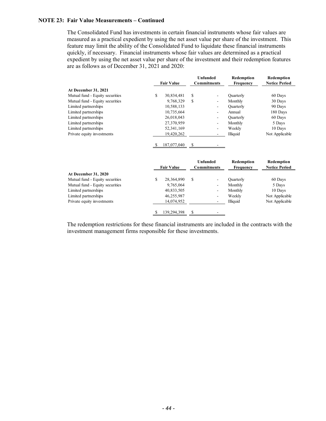The Consolidated Fund has investments in certain financial instruments whose fair values are measured as a practical expedient by using the net asset value per share of the investment. This feature may limit the ability of the Consolidated Fund to liquidate these financial instruments quickly, if necessary. Financial instruments whose fair values are determined as a practical expedient by using the net asset value per share of the investment and their redemption features are as follows as of December 31, 2021 and 2020:

|                                 | <b>Fair Value</b> |   | <b>Unfunded</b><br><b>Commitments</b> | Redemption<br><b>Frequency</b> | Redemption<br><b>Notice Period</b> |
|---------------------------------|-------------------|---|---------------------------------------|--------------------------------|------------------------------------|
| <b>At December 31, 2021</b>     |                   |   |                                       |                                |                                    |
| Mutual fund - Equity securities | \$<br>30,834,481  | S | $\overline{\phantom{a}}$              | Quarterly                      | 60 Days                            |
| Mutual fund - Equity securities | 9.768.329         | S | $\overline{\phantom{0}}$              | Monthly                        | 30 Days                            |
| Limited partnerships            | 10,588,133        |   | ۰                                     | Quarterly                      | 90 Days                            |
| Limited partnerships            | 10,735,664        |   | $\overline{\phantom{a}}$              | Annual                         | 180 Days                           |
| Limited partnerships            | 26,018,043        |   | $\overline{\phantom{a}}$              | <b>Quarterly</b>               | 60 Days                            |
| Limited partnerships            | 27,370,959        |   | $\overline{\phantom{a}}$              | Monthly                        | 5 Days                             |
| Limited partnerships            | 52, 341, 169      |   | $\overline{\phantom{a}}$              | Weekly                         | 10 Days                            |
| Private equity investments      | 19,420,262        |   |                                       | Illiquid                       | Not Applicable                     |
|                                 | 187,077,040       | S |                                       |                                |                                    |

|                                 | <b>Fair Value</b> |   | Unfunded<br><b>Commitments</b> | Redemption<br><b>Frequency</b> | Redemption<br><b>Notice Period</b> |
|---------------------------------|-------------------|---|--------------------------------|--------------------------------|------------------------------------|
| <b>At December 31, 2020</b>     |                   |   |                                |                                |                                    |
| Mutual fund - Equity securities | 28,364,890        | S | $\overline{\phantom{a}}$       | Quarterly                      | 60 Days                            |
| Mutual fund - Equity securities | 9,765,064         |   | $\overline{\phantom{a}}$       | Monthly                        | 5 Days                             |
| Limited partnerships            | 40,833,505        |   | $\overline{\phantom{a}}$       | Monthly                        | 10 Days                            |
| Limited partnerships            | 46,255,987        |   | ۰                              | Weekly                         | Not Applicable                     |
| Private equity investments      | 14,074,952        |   |                                | Illiquid                       | Not Applicable                     |
|                                 | 139.294.398       |   | $\sim$                         |                                |                                    |

The redemption restrictions for these financial instruments are included in the contracts with the investment management firms responsible for these investments.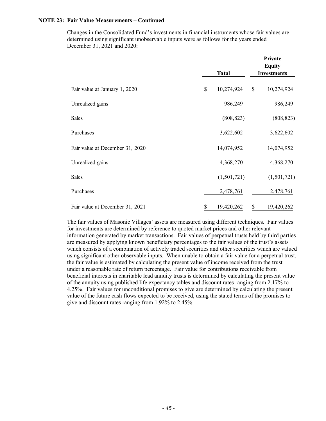Changes in the Consolidated Fund's investments in financial instruments whose fair values are determined using significant unobservable inputs were as follows for the years ended December 31, 2021 and 2020:

|                                 | <b>Total</b>     | Private<br><b>Equity</b><br><b>Investments</b> |             |  |
|---------------------------------|------------------|------------------------------------------------|-------------|--|
| Fair value at January 1, 2020   | \$<br>10,274,924 | $\mathbb{S}$                                   | 10,274,924  |  |
| Unrealized gains                | 986,249          |                                                | 986,249     |  |
| Sales                           | (808, 823)       |                                                | (808, 823)  |  |
| Purchases                       | 3,622,602        |                                                | 3,622,602   |  |
| Fair value at December 31, 2020 | 14,074,952       |                                                | 14,074,952  |  |
| Unrealized gains                | 4,368,270        |                                                | 4,368,270   |  |
| <b>Sales</b>                    | (1,501,721)      |                                                | (1,501,721) |  |
| Purchases                       | 2,478,761        |                                                | 2,478,761   |  |
| Fair value at December 31, 2021 | \$<br>19,420,262 | \$                                             | 19,420,262  |  |

The fair values of Masonic Villages' assets are measured using different techniques. Fair values for investments are determined by reference to quoted market prices and other relevant information generated by market transactions. Fair values of perpetual trusts held by third parties are measured by applying known beneficiary percentages to the fair values of the trust's assets which consists of a combination of actively traded securities and other securities which are valued using significant other observable inputs. When unable to obtain a fair value for a perpetual trust, the fair value is estimated by calculating the present value of income received from the trust under a reasonable rate of return percentage. Fair value for contributions receivable from beneficial interests in charitable lead annuity trusts is determined by calculating the present value of the annuity using published life expectancy tables and discount rates ranging from 2.17% to 4.25%. Fair values for unconditional promises to give are determined by calculating the present value of the future cash flows expected to be received, using the stated terms of the promises to give and discount rates ranging from 1.92% to 2.45%.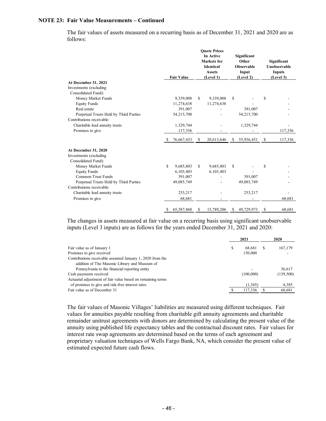The fair values of assets measured on a recurring basis as of December 31, 2021 and 2020 are as follows:

|                                        |    | <b>Fair Value</b> |     | <b>Ouote Prices</b><br>In Active<br>Markets for<br><b>Identical</b><br><b>Assets</b><br>(Level 1) | Significant<br>Other<br><b>Observable</b><br>Input<br>(Level 2) |      | Significant<br>Unobservable<br>Inputs<br>(Level 3) |
|----------------------------------------|----|-------------------|-----|---------------------------------------------------------------------------------------------------|-----------------------------------------------------------------|------|----------------------------------------------------|
| At December 31, 2021                   |    |                   |     |                                                                                                   |                                                                 |      |                                                    |
| Investments (excluding                 |    |                   |     |                                                                                                   |                                                                 |      |                                                    |
| Consolidated Fund):                    |    |                   |     |                                                                                                   |                                                                 |      |                                                    |
| Money Market Funds                     |    | 9,339,008         | \$. | 9,339,008                                                                                         | \$                                                              | \$   |                                                    |
| <b>Equity Funds</b>                    |    | 11,274,638        |     | 11,274,638                                                                                        |                                                                 |      |                                                    |
| Real estate                            |    | 391,007           |     |                                                                                                   | 391,007                                                         |      |                                                    |
| Perpetual Trusts Held by Third Parties |    | 54,215,700        |     |                                                                                                   | 54,215,700                                                      |      |                                                    |
| Contributions receivable:              |    |                   |     |                                                                                                   |                                                                 |      |                                                    |
| Charitable lead annuity trusts         |    | 1,329,744         |     |                                                                                                   | 1,329,744                                                       |      |                                                    |
| Promises to give                       |    | 117,336           |     |                                                                                                   |                                                                 |      | 117,336                                            |
|                                        | -S | 76,667,433        | -S  | 20,613,646                                                                                        | \$<br>55,936,451                                                | - \$ | 117,336                                            |
| At December 31, 2020                   |    |                   |     |                                                                                                   |                                                                 |      |                                                    |
| Investments (excluding                 |    |                   |     |                                                                                                   |                                                                 |      |                                                    |
| Consolidated Fund):                    |    |                   |     |                                                                                                   |                                                                 |      |                                                    |
| Money Market Funds                     | S  | 9,685,803         | \$  | 9,685,803                                                                                         | \$                                                              | \$   |                                                    |
| <b>Equity Funds</b>                    |    | 6,103,403         |     | 6,103,403                                                                                         |                                                                 |      |                                                    |
| Common Trust Funds                     |    | 391,007           |     |                                                                                                   | 391,007                                                         |      |                                                    |
| Perpetual Trusts Held by Third Parties |    | 49,085,749        |     |                                                                                                   | 49,085,749                                                      |      |                                                    |
| Contributions receivable:              |    |                   |     |                                                                                                   |                                                                 |      |                                                    |
| Charitable lead annuity trusts         |    | 253,217           |     |                                                                                                   | 253,217                                                         |      |                                                    |
| Promises to give                       |    | 68,681            |     |                                                                                                   |                                                                 |      | 68,681                                             |
|                                        | S  | 65,587,860        | \$  | 15,789,206                                                                                        | \$<br>49,729,973                                                | \$   | 68.681                                             |

The changes in assets measured at fair value on a recurring basis using significant unobservable inputs (Level 3 inputs) are as follows for the years ended December 31, 2021 and 2020:

| 2021      |  | 2020      |  |  |
|-----------|--|-----------|--|--|
| 68.681    |  | 167,179   |  |  |
| 150,000   |  |           |  |  |
|           |  |           |  |  |
|           |  |           |  |  |
|           |  | 36,617    |  |  |
| (100,000) |  | (139,500) |  |  |
|           |  |           |  |  |
| (1,345)   |  | 4,385     |  |  |
| 117,336   |  | 68,681    |  |  |
|           |  |           |  |  |

The fair values of Masonic Villages' liabilities are measured using different techniques. Fair values for annuities payable resulting from charitable gift annuity agreements and charitable remainder unitrust agreements with donors are determined by calculating the present value of the annuity using published life expectancy tables and the contractual discount rates. Fair values for interest rate swap agreements are determined based on the terms of each agreement and proprietary valuation techniques of Wells Fargo Bank, NA, which consider the present value of estimated expected future cash flows.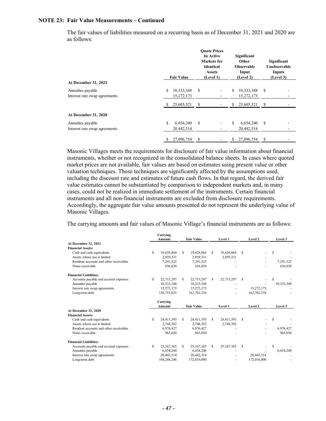The fair values of liabilities measured on a recurring basis as of December 31, 2021 and 2020 are as follows:

|                               | <b>Fair Value</b> |    | <b>Ouote Prices</b><br>In Active<br><b>Markets</b> for<br><b>Identical</b><br><b>Assets</b><br>(Level 1) |    | Significant<br>Other<br><b>Observable</b><br>Input<br>(Level 2) |               | Significant<br>Unobservable<br>Inputs<br>(Level 3) |
|-------------------------------|-------------------|----|----------------------------------------------------------------------------------------------------------|----|-----------------------------------------------------------------|---------------|----------------------------------------------------|
| At December 31, 2021          |                   |    |                                                                                                          |    |                                                                 |               |                                                    |
| Annuities payable             | \$<br>10,333,348  | \$ |                                                                                                          | \$ | 10,333,348                                                      | \$            |                                                    |
| Interest rate swap agreements | 15,272,173        |    |                                                                                                          |    | 15,272,173                                                      |               |                                                    |
|                               | 25,605,521        | S. |                                                                                                          | S  | 25,605,521                                                      | S.            |                                                    |
| At December 31, 2020          |                   |    |                                                                                                          |    |                                                                 |               |                                                    |
| Annuities payable             | \$<br>6,654,240   | \$ |                                                                                                          | \$ | 6,654,240                                                       | <sup>\$</sup> |                                                    |
| Interest rate swap agreements | 20,442,514        |    |                                                                                                          |    | 20,442,514                                                      |               |                                                    |
|                               | \$<br>27,096,754  | \$ |                                                                                                          | \$ | 27,096,754                                                      | \$            |                                                    |

Masonic Villages meets the requirements for disclosure of fair value information about financial instruments, whether or not recognized in the consolidated balance sheets. In cases where quoted market prices are not available, fair values are based on estimates using present value or other valuation techniques. Those techniques are significantly affected by the assumptions used, including the discount rate and estimates of future cash flows. In that regard, the derived fair value estimates cannot be substantiated by comparison to independent markets and, in many cases, could not be realized in immediate settlement of the instruments. Certain financial instruments and all non-financial instruments are excluded from disclosure requirements. Accordingly, the aggregate fair value amounts presented do not represent the underlying value of Masonic Villages.

The carrying amounts and fair values of Masonic Village's financial instruments are as follows:

|                                         |    | Carrying     |                   |                   |         |              |         |             |            |  |
|-----------------------------------------|----|--------------|-------------------|-------------------|---------|--------------|---------|-------------|------------|--|
|                                         |    | Amount       | <b>Fair Value</b> |                   | Level 1 |              | Level 2 |             | Level 3    |  |
| At December 31, 2021                    |    |              |                   |                   |         |              |         |             |            |  |
| <b>Financial Assets:</b>                |    |              |                   |                   |         |              |         |             |            |  |
| Cash and cash equivalents               | S  | 19,628,864   | S.                | 19,628,864        | S.      | 19,628,864   | S       |             | S          |  |
| Assets whose use is limited             |    | 2.859.331    |                   | 2,859,331         |         | 2,859,331    |         |             |            |  |
| Resident accounts and other receivables |    | 7,291,525    |                   | 7,291,525         |         |              |         |             | 7,291,525  |  |
| Notes receivable                        |    | 636,830      |                   | 636,830           |         |              |         |             | 636,830    |  |
| <b>Financial Liabilities:</b>           |    |              |                   |                   |         |              |         |             |            |  |
| Accounts payable and accrued expenses   | S. | 22,715,297   | S                 | 22,715,297        | S       | 22,715,297   | S       |             | S          |  |
| Annuities payable                       |    | 10,333,348   |                   | 10,333,348        |         |              |         |             | 10,333,348 |  |
| Interest rate swap agreements           |    | 15,272,173   |                   | 15,272,173        |         |              |         | 15,272,173  |            |  |
| Long-term debt                          |    | 158,751,623  |                   | 162,702,234       |         |              |         | 162,702,234 |            |  |
|                                         |    | Carrying     |                   |                   |         |              |         |             |            |  |
|                                         |    | Amount       |                   | <b>Fair Value</b> |         | Level 1      |         | Level 2     | Level 3    |  |
| At December 31, 2020                    |    |              |                   |                   |         |              |         |             |            |  |
| <b>Financial Assets:</b>                |    |              |                   |                   |         |              |         |             |            |  |
| Cash and cash equivalents               | S  | 24,411,393   | S                 | 24,411,393        | S       | 24,411,393   | S       |             | S          |  |
| Assets whose use is limited             |    | 2,748,382    |                   | 2,748,382         |         | 2,748,382    |         |             |            |  |
| Resident accounts and other receivables |    | 6.976.427    |                   | 6,976,427         |         |              |         |             | 6,976,427  |  |
| Notes receivable                        |    | 963,030      |                   | 963,030           |         |              |         |             | 963,030    |  |
| <b>Financial Liabilities:</b>           |    |              |                   |                   |         |              |         |             |            |  |
| Accounts payable and accrued expenses   | S  | 25, 167, 365 | s                 | 25,167,365        | S       | 25, 167, 365 | S       |             | S          |  |
| Annuities payable                       |    | 6,654,240    |                   | 6,654,240         |         |              |         |             | 6,654,240  |  |
| Interest rate swap agreements           |    | 20,442,514   |                   | 20,442,514        |         |              |         | 20,442,514  |            |  |
| Long-term debt                          |    | 168,244,246  |                   | 172,016,000       |         |              |         | 172,016,000 |            |  |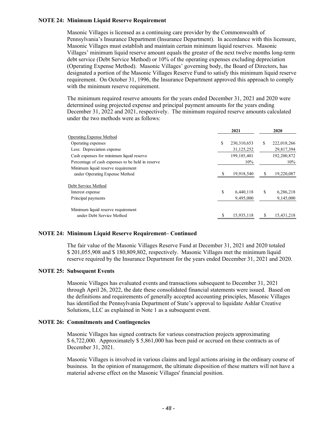### **NOTE 24: Minimum Liquid Reserve Requirement**

Masonic Villages is licensed as a continuing care provider by the Commonwealth of Pennsylvania's Insurance Department (Insurance Department). In accordance with this licensure, Masonic Villages must establish and maintain certain minimum liquid reserves. Masonic Villages' minimum liquid reserve amount equals the greater of the next twelve months long-term debt service (Debt Service Method) or 10% of the operating expenses excluding depreciation (Operating Expense Method). Masonic Villages' governing body, the Board of Directors, has designated a portion of the Masonic Villages Reserve Fund to satisfy this minimum liquid reserve requirement. On October 31, 1996, the Insurance Department approved this approach to comply with the minimum reserve requirement.

The minimum required reserve amounts for the years ended December 31, 2021 and 2020 were determined using projected expense and principal payment amounts for the years ending December 31, 2022 and 2021, respectively. The minimum required reserve amounts calculated under the two methods were as follows:

|                                                   | 2021                |    | 2020        |
|---------------------------------------------------|---------------------|----|-------------|
| Operating Expense Method                          |                     |    |             |
| Operating expenses                                | \$<br>230, 310, 653 | S. | 222,018,266 |
| Less: Depreciation expense                        | 31,125,252          |    | 29,817,394  |
| Cash expenses for minimum liquid reserve          | 199, 185, 401       |    | 192,200,872 |
| Percentage of cash expenses to be held in reserve | 10%                 |    | 10%         |
| Minimum liquid reserve requirement                |                     |    |             |
| under Operating Expense Method                    | 19,918,540          | \$ | 19,220,087  |
| Debt Service Method                               |                     |    |             |
| Interest expense                                  | \$<br>6.440.118     | \$ | 6,286,218   |
| Principal payments                                | 9,495,000           |    | 9,145,000   |
| Minimum liquid reserve requirement                |                     |    |             |
| under Debt Service Method                         | 15,935,118          |    | 15,431,218  |

### **NOTE 24: Minimum Liquid Reserve Requirement– Continued**

The fair value of the Masonic Villages Reserve Fund at December 31, 2021 and 2020 totaled \$ 201,055,908 and \$ 180,809,802, respectively. Masonic Villages met the minimum liquid reserve required by the Insurance Department for the years ended December 31, 2021 and 2020.

#### **NOTE 25: Subsequent Events**

Masonic Villages has evaluated events and transactions subsequent to December 31, 2021 through April 26, 2022, the date these consolidated financial statements were issued. Based on the definitions and requirements of generally accepted accounting principles, Masonic Villages has identified the Pennsylvania Department of State's approval to liquidate Ashlar Creative Solutions, LLC as explained in Note 1 as a subsequent event.

#### **NOTE 26: Commitments and Contingencies**

Masonic Villages has signed contracts for various construction projects approximating \$ 6,722,000. Approximately \$ 5,861,000 has been paid or accrued on these contracts as of December 31, 2021.

Masonic Villages is involved in various claims and legal actions arising in the ordinary course of business. In the opinion of management, the ultimate disposition of these matters will not have a material adverse effect on the Masonic Villages' financial position.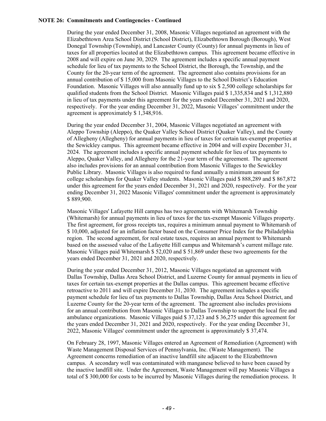### **NOTE 26: Commitments and Contingencies - Continued**

During the year ended December 31, 2008, Masonic Villages negotiated an agreement with the Elizabethtown Area School District (School District), Elizabethtown Borough (Borough), West Donegal Township (Township), and Lancaster County (County) for annual payments in lieu of taxes for all properties located at the Elizabethtown campus. This agreement became effective in 2008 and will expire on June 30, 2029. The agreement includes a specific annual payment schedule for lieu of tax payments to the School District, the Borough, the Township, and the County for the 20-year term of the agreement. The agreement also contains provisions for an annual contribution of \$ 15,000 from Masonic Villages to the School District's Education Foundation. Masonic Villages will also annually fund up to six \$ 2,500 college scholarships for qualified students from the School District. Masonic Villages paid \$ 1,335,834 and \$ 1,312,880 in lieu of tax payments under this agreement for the years ended December 31, 2021 and 2020, respectively. For the year ending December 31, 2022, Masonic Villages' commitment under the agreement is approximately \$ 1,348,916.

During the year ended December 31, 2004, Masonic Villages negotiated an agreement with Aleppo Township (Aleppo), the Quaker Valley School District (Quaker Valley), and the County of Allegheny (Allegheny) for annual payments in lieu of taxes for certain tax-exempt properties at the Sewickley campus. This agreement became effective in 2004 and will expire December 31, 2024. The agreement includes a specific annual payment schedule for lieu of tax payments to Aleppo, Quaker Valley, and Allegheny for the 21-year term of the agreement. The agreement also includes provisions for an annual contribution from Masonic Villages to the Sewickley Public Library. Masonic Villages is also required to fund annually a minimum amount for college scholarships for Quaker Valley students. Masonic Villages paid \$ 888,289 and \$ 867,872 under this agreement for the years ended December 31, 2021 and 2020, respectively. For the year ending December 31, 2022 Masonic Villages' commitment under the agreement is approximately \$ 889,900.

Masonic Villages' Lafayette Hill campus has two agreements with Whitemarsh Township (Whitemarsh) for annual payments in lieu of taxes for the tax-exempt Masonic Villages property. The first agreement, for gross receipts tax, requires a minimum annual payment to Whitemarsh of \$ 10,000, adjusted for an inflation factor based on the Consumer Price Index for the Philadelphia region. The second agreement, for real estate taxes, requires an annual payment to Whitemarsh based on the assessed value of the Lafayette Hill campus and Whitemarsh's current millage rate. Masonic Villages paid Whitemarsh \$ 52,020 and \$ 51,869 under these two agreements for the years ended December 31, 2021 and 2020, respectively.

During the year ended December 31, 2012, Masonic Villages negotiated an agreement with Dallas Township, Dallas Area School District, and Luzerne County for annual payments in lieu of taxes for certain tax-exempt properties at the Dallas campus. This agreement became effective retroactive to 2011 and will expire December 31, 2030. The agreement includes a specific payment schedule for lieu of tax payments to Dallas Township, Dallas Area School District, and Luzerne County for the 20-year term of the agreement. The agreement also includes provisions for an annual contribution from Masonic Villages to Dallas Township to support the local fire and ambulance organizations. Masonic Villages paid \$ 37,123 and \$ 36,275 under this agreement for the years ended December 31, 2021 and 2020, respectively. For the year ending December 31, 2022, Masonic Villages' commitment under the agreement is approximately \$ 37,474.

On February 28, 1997, Masonic Villages entered an Agreement of Remediation (Agreement) with Waste Management Disposal Services of Pennsylvania, Inc. (Waste Management). The Agreement concerns remediation of an inactive landfill site adjacent to the Elizabethtown campus. A secondary well was contaminated with manganese believed to have been caused by the inactive landfill site. Under the Agreement, Waste Management will pay Masonic Villages a total of \$ 300,000 for costs to be incurred by Masonic Villages during the remediation process. It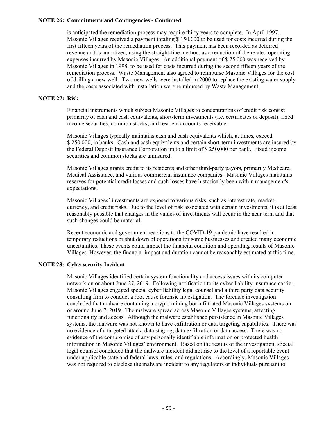### **NOTE 26: Commitments and Contingencies - Continued**

is anticipated the remediation process may require thirty years to complete. In April 1997, Masonic Villages received a payment totaling \$ 150,000 to be used for costs incurred during the first fifteen years of the remediation process. This payment has been recorded as deferred revenue and is amortized, using the straight-line method, as a reduction of the related operating expenses incurred by Masonic Villages. An additional payment of \$ 75,000 was received by Masonic Villages in 1998, to be used for costs incurred during the second fifteen years of the remediation process. Waste Management also agreed to reimburse Masonic Villages for the cost of drilling a new well. Two new wells were installed in 2000 to replace the existing water supply and the costs associated with installation were reimbursed by Waste Management.

#### **NOTE 27: Risk**

Financial instruments which subject Masonic Villages to concentrations of credit risk consist primarily of cash and cash equivalents, short-term investments (i.e. certificates of deposit), fixed income securities, common stocks, and resident accounts receivable.

Masonic Villages typically maintains cash and cash equivalents which, at times, exceed \$ 250,000, in banks. Cash and cash equivalents and certain short-term investments are insured by the Federal Deposit Insurance Corporation up to a limit of \$ 250,000 per bank. Fixed income securities and common stocks are uninsured.

Masonic Villages grants credit to its residents and other third-party payors, primarily Medicare, Medical Assistance, and various commercial insurance companies. Masonic Villages maintains reserves for potential credit losses and such losses have historically been within management's expectations.

Masonic Villages' investments are exposed to various risks, such as interest rate, market, currency, and credit risks. Due to the level of risk associated with certain investments, it is at least reasonably possible that changes in the values of investments will occur in the near term and that such changes could be material.

Recent economic and government reactions to the COVID-19 pandemic have resulted in temporary reductions or shut down of operations for some businesses and created many economic uncertainties. These events could impact the financial condition and operating results of Masonic Villages. However, the financial impact and duration cannot be reasonably estimated at this time.

### **NOTE 28: Cybersecurity Incident**

Masonic Villages identified certain system functionality and access issues with its computer network on or about June 27, 2019. Following notification to its cyber liability insurance carrier, Masonic Villages engaged special cyber liability legal counsel and a third party data security consulting firm to conduct a root cause forensic investigation. The forensic investigation concluded that malware containing a crypto mining bot infiltrated Masonic Villages systems on or around June 7, 2019. The malware spread across Masonic Villages systems, affecting functionality and access. Although the malware established persistence in Masonic Villages systems, the malware was not known to have exfiltration or data targeting capabilities. There was no evidence of a targeted attack, data staging, data exfiltration or data access. There was no evidence of the compromise of any personally identifiable information or protected health information in Masonic Villages' environment. Based on the results of the investigation, special legal counsel concluded that the malware incident did not rise to the level of a reportable event under applicable state and federal laws, rules, and regulations. Accordingly, Masonic Villages was not required to disclose the malware incident to any regulators or individuals pursuant to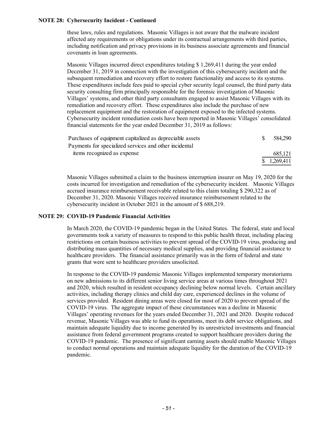### **NOTE 28: Cybersecurity Incident - Continued**

these laws, rules and regulations. Masonic Villages is not aware that the malware incident affected any requirements or obligations under its contractual arrangements with third parties, including notification and privacy provisions in its business associate agreements and financial covenants in loan agreements.

Masonic Villages incurred direct expenditures totaling \$ 1,269,411 during the year ended December 31, 2019 in connection with the investigation of this cybersecurity incident and the subsequent remediation and recovery effort to restore functionality and access to its systems. These expenditures include fees paid to special cyber security legal counsel, the third party data security consulting firm principally responsible for the forensic investigation of Masonic Villages' systems, and other third party consultants engaged to assist Masonic Villages with its remediation and recovery effort. These expenditures also include the purchase of new replacement equipment and the restoration of equipment exposed to the infected systems. Cybersecurity incident remediation costs have been reported in Masonic Villages' consolidated financial statements for the year ended December 31, 2019 as follows:

| Purchases of equipment capitalized as depreciable assets | 584,290      |
|----------------------------------------------------------|--------------|
| Payments for specialized services and other incidental   |              |
| items recognized as expense                              | 685.121      |
|                                                          | \$ 1,269,411 |

Masonic Villages submitted a claim to the business interruption insurer on May 19, 2020 for the costs incurred for investigation and remediation of the cybersecurity incident. Masonic Villages accrued insurance reimbursement receivable related to this claim totaling \$ 290,322 as of December 31, 2020. Masonic Villages received insurance reimbursement related to the cybersecurity incident in October 2021 in the amount of \$ 688,219.

### **NOTE 29: COVID-19 Pandemic Financial Activities**

In March 2020, the COVID-19 pandemic began in the United States. The federal, state and local governments took a variety of measures to respond to this public health threat, including placing restrictions on certain business activities to prevent spread of the COVID-19 virus, producing and distributing mass quantities of necessary medical supplies, and providing financial assistance to healthcare providers. The financial assistance primarily was in the form of federal and state grants that were sent to healthcare providers unsolicited.

In response to the COVID-19 pandemic Masonic Villages implemented temporary moratoriums on new admissions to its different senior living service areas at various times throughout 2021 and 2020, which resulted in resident occupancy declining below normal levels. Certain ancillary activities, including therapy clinics and child day care, experienced declines in the volume of services provided. Resident dining areas were closed for most of 2020 to prevent spread of the COVID-19 virus. The aggregate impact of these circumstances was a decline in Masonic Villages' operating revenues for the years ended December 31, 2021 and 2020. Despite reduced revenue, Masonic Villages was able to fund its operations, meet its debt service obligations, and maintain adequate liquidity due to income generated by its unrestricted investments and financial assistance from federal government programs created to support healthcare providers during the COVID-19 pandemic. The presence of significant earning assets should enable Masonic Villages to conduct normal operations and maintain adequate liquidity for the duration of the COVID-19 pandemic.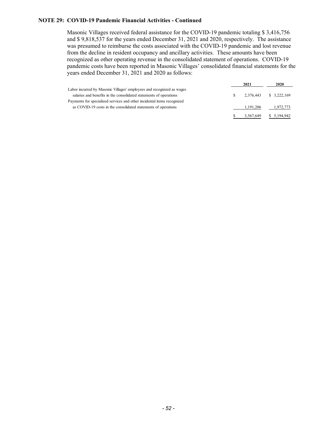### **NOTE 29: COVID-19 Pandemic Financial Activities - Continued**

Masonic Villages received federal assistance for the COVID-19 pandemic totaling \$ 3,416,756 and \$ 9,818,537 for the years ended December 31, 2021 and 2020, respectively. The assistance was presumed to reimburse the costs associated with the COVID-19 pandemic and lost revenue from the decline in resident occupancy and ancillary activities. These amounts have been recognized as other operating revenue in the consolidated statement of operations. COVID-19 pandemic costs have been reported in Masonic Villages' consolidated financial statements for the years ended December 31, 2021 and 2020 as follows:

|                                                                         |    | 2021        | 2020         |
|-------------------------------------------------------------------------|----|-------------|--------------|
| Labor incurred by Masonic Villages' employees and recognized as wages   |    |             |              |
| salaries and benefits in the consolidated statements of operations      | S. | 2.376.443   | \$3,222,169  |
| Payments for specialized services and other incidental items recognized |    |             |              |
| as COVID-19 costs in the consolidated statements of operations          |    | 1, 191, 206 | 1,972,773    |
|                                                                         |    | 3,567,649   | \$ 5,194,942 |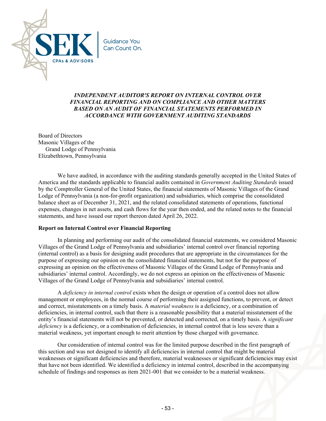

# *INDEPENDENT AUDITOR'S REPORT ON INTERNAL CONTROL OVER FINANCIAL REPORTING AND ON COMPLIANCE AND OTHER MATTERS BASED ON AN AUDIT OF FINANCIAL STATEMENTS PERFORMED IN ACCORDANCE WITH GOVERNMENT AUDITING STANDARDS*

Board of Directors Masonic Villages of the Grand Lodge of Pennsylvania Elizabethtown, Pennsylvania

We have audited, in accordance with the auditing standards generally accepted in the United States of America and the standards applicable to financial audits contained in *Government Auditing Standards* issued by the Comptroller General of the United States, the financial statements of Masonic Villages of the Grand Lodge of Pennsylvania (a non-for-profit organization) and subsidiaries, which comprise the consolidated balance sheet as of December 31, 2021, and the related consolidated statements of operations, functional expenses, changes in net assets, and cash flows for the year then ended, and the related notes to the financial statements, and have issued our report thereon dated April 26, 2022.

### **Report on Internal Control over Financial Reporting**

In planning and performing our audit of the consolidated financial statements, we considered Masonic Villages of the Grand Lodge of Pennsylvania and subsidiaries' internal control over financial reporting (internal control) as a basis for designing audit procedures that are appropriate in the circumstances for the purpose of expressing our opinion on the consolidated financial statements, but not for the purpose of expressing an opinion on the effectiveness of Masonic Villages of the Grand Lodge of Pennsylvania and subsidiaries' internal control. Accordingly, we do not express an opinion on the effectiveness of Masonic Villages of the Grand Lodge of Pennsylvania and subsidiaries' internal control.

A *deficiency in internal control* exists when the design or operation of a control does not allow management or employees, in the normal course of performing their assigned functions, to prevent, or detect and correct, misstatements on a timely basis. A *material weakness* is a deficiency, or a combination of deficiencies, in internal control, such that there is a reasonable possibility that a material misstatement of the entity's financial statements will not be prevented, or detected and corrected, on a timely basis. A *significant deficiency* is a deficiency, or a combination of deficiencies, in internal control that is less severe than a material weakness, yet important enough to merit attention by those charged with governance.

Our consideration of internal control was for the limited purpose described in the first paragraph of this section and was not designed to identify all deficiencies in internal control that might be material weaknesses or significant deficiencies and therefore, material weaknesses or significant deficiencies may exist that have not been identified. We identified a deficiency in internal control, described in the accompanying schedule of findings and responses as item 2021-001 that we consider to be a material weakness.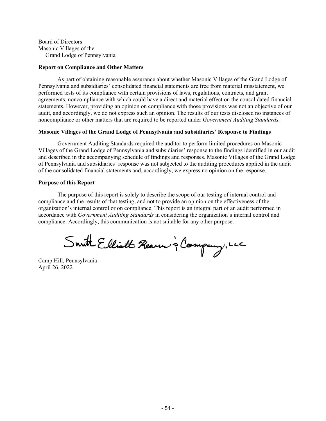Board of Directors Masonic Villages of the Grand Lodge of Pennsylvania

#### **Report on Compliance and Other Matters**

As part of obtaining reasonable assurance about whether Masonic Villages of the Grand Lodge of Pennsylvania and subsidiaries' consolidated financial statements are free from material misstatement, we performed tests of its compliance with certain provisions of laws, regulations, contracts, and grant agreements, noncompliance with which could have a direct and material effect on the consolidated financial statements. However, providing an opinion on compliance with those provisions was not an objective of our audit, and accordingly, we do not express such an opinion. The results of our tests disclosed no instances of noncompliance or other matters that are required to be reported under *Government Auditing Standards.*

#### **Masonic Villages of the Grand Lodge of Pennsylvania and subsidiaries' Response to Findings**

Government Auditing Standards required the auditor to perform limited procedures on Masonic Villages of the Grand Lodge of Pennsylvania and subsidiaries' response to the findings identified in our audit and described in the accompanying schedule of findings and responses. Masonic Villages of the Grand Lodge of Pennsylvania and subsidiaries' response was not subjected to the auditing procedures applied in the audit of the consolidated financial statements and, accordingly, we express no opinion on the response.

#### **Purpose of this Report**

The purpose of this report is solely to describe the scope of our testing of internal control and compliance and the results of that testing, and not to provide an opinion on the effectiveness of the organization's internal control or on compliance. This report is an integral part of an audit performed in accordance with *Government Auditing Standards* in considering the organization's internal control and compliance. Accordingly, this communication is not suitable for any other purpose.

Swith Elliott Rearn à Company, LLC

Camp Hill, Pennsylvania April 26, 2022